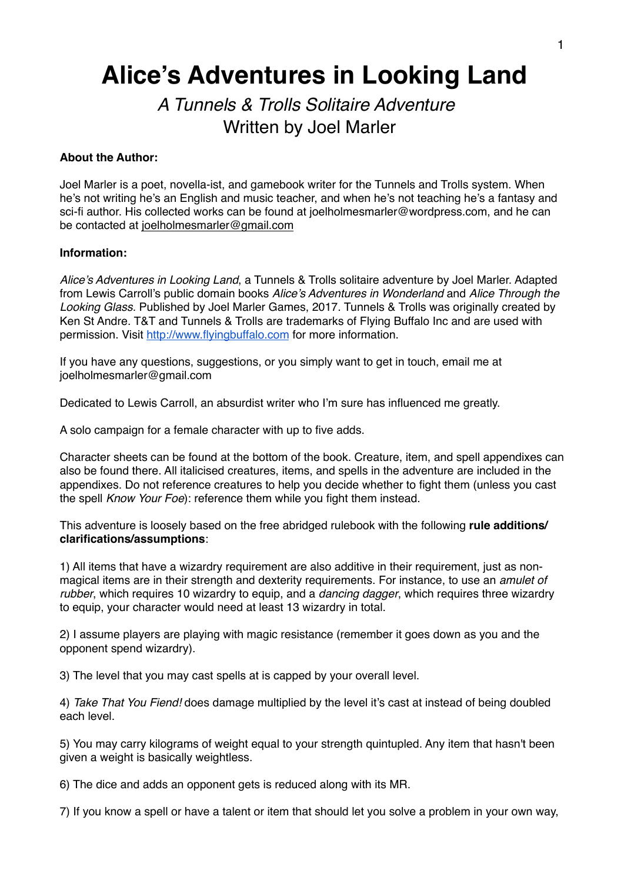# **Alice's Adventures in Looking Land**

# *A Tunnels & Trolls Solitaire Adventure* **Written by Joel Marler**

## **About the Author:**

Joel Marler is a poet, novella-ist, and gamebook writer for the Tunnels and Trolls system. When he's not writing he's an English and music teacher, and when he's not teaching he's a fantasy and sci-fi author. His collected works can be found at joelholmesmarler@wordpress.com, and he can be contacted at [joelholmesmarler@gmail.com](mailto:joelholmesmarler@gmail.com)

#### **Information:**

*Alice's Adventures in Looking Land*, a Tunnels & Trolls solitaire adventure by Joel Marler. Adapted from Lewis Carroll's public domain books *Alice's Adventures in Wonderland* and *Alice Through the Looking Glass*. Published by Joel Marler Games, 2017. Tunnels & Trolls was originally created by Ken St Andre. T&T and Tunnels & Trolls are trademarks of Flying Buffalo Inc and are used with permission. Visit [http://www.flyingbuffalo.com](http://www.flyingbuffalo.com/) for more information.

If you have any questions, suggestions, or you simply want to get in touch, email me at joelholmesmarler@gmail.com

Dedicated to Lewis Carroll, an absurdist writer who I'm sure has influenced me greatly.

A solo campaign for a female character with up to five adds.

Character sheets can be found at the bottom of the book. Creature, item, and spell appendixes can also be found there. All italicised creatures, items, and spells in the adventure are included in the appendixes. Do not reference creatures to help you decide whether to fight them (unless you cast the spell *Know Your Foe*): reference them while you fight them instead.

This adventure is loosely based on the free abridged rulebook with the following **rule additions/ clarifications/assumptions**:

1) All items that have a wizardry requirement are also additive in their requirement, just as nonmagical items are in their strength and dexterity requirements. For instance, to use an *amulet of rubber*, which requires 10 wizardry to equip, and a *dancing dagger*, which requires three wizardry to equip, your character would need at least 13 wizardry in total.

2) I assume players are playing with magic resistance (remember it goes down as you and the opponent spend wizardry).

3) The level that you may cast spells at is capped by your overall level.

4) *Take That You Fiend!* does damage multiplied by the level it's cast at instead of being doubled each level.

5) You may carry kilograms of weight equal to your strength quintupled. Any item that hasn't been given a weight is basically weightless.

6) The dice and adds an opponent gets is reduced along with its MR.

7) If you know a spell or have a talent or item that should let you solve a problem in your own way,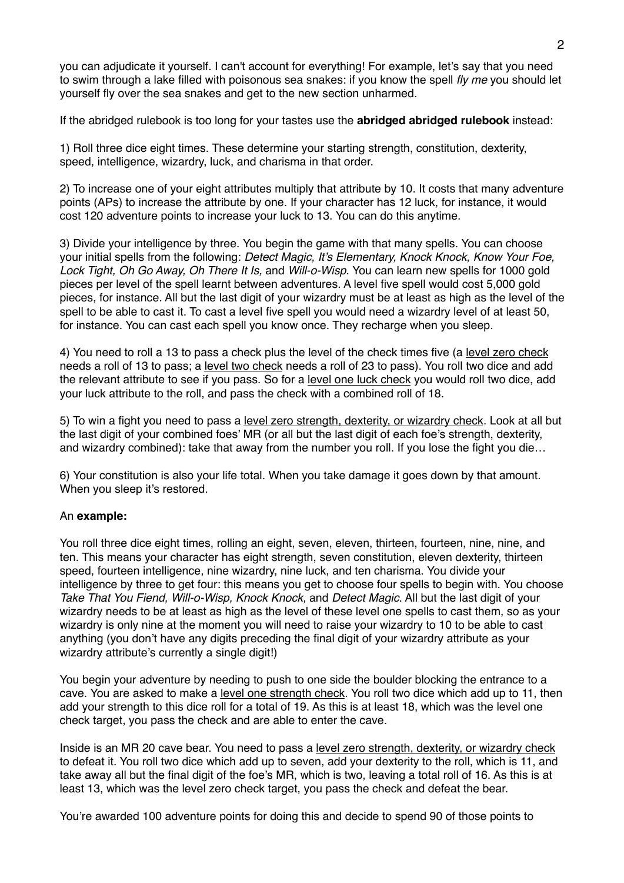you can adjudicate it yourself. I can't account for everything! For example, let's say that you need to swim through a lake filled with poisonous sea snakes: if you know the spell *fly me* you should let yourself fly over the sea snakes and get to the new section unharmed.

If the abridged rulebook is too long for your tastes use the **abridged abridged rulebook** instead:

1) Roll three dice eight times. These determine your starting strength, constitution, dexterity, speed, intelligence, wizardry, luck, and charisma in that order.

2) To increase one of your eight attributes multiply that attribute by 10. It costs that many adventure points (APs) to increase the attribute by one. If your character has 12 luck, for instance, it would cost 120 adventure points to increase your luck to 13. You can do this anytime.

3) Divide your intelligence by three. You begin the game with that many spells. You can choose your initial spells from the following: *Detect Magic, It's Elementary, Knock Knock, Know Your Foe, Lock Tight, Oh Go Away, Oh There It Is,* and *Will-o-Wisp*. You can learn new spells for 1000 gold pieces per level of the spell learnt between adventures. A level five spell would cost 5,000 gold pieces, for instance. All but the last digit of your wizardry must be at least as high as the level of the spell to be able to cast it. To cast a level five spell you would need a wizardry level of at least 50, for instance. You can cast each spell you know once. They recharge when you sleep.

4) You need to roll a 13 to pass a check plus the level of the check times five (a level zero check needs a roll of 13 to pass; a level two check needs a roll of 23 to pass). You roll two dice and add the relevant attribute to see if you pass. So for a level one luck check you would roll two dice, add your luck attribute to the roll, and pass the check with a combined roll of 18.

5) To win a fight you need to pass a level zero strength, dexterity, or wizardry check. Look at all but the last digit of your combined foes' MR (or all but the last digit of each foe's strength, dexterity, and wizardry combined): take that away from the number you roll. If you lose the fight you die…

6) Your constitution is also your life total. When you take damage it goes down by that amount. When you sleep it's restored.

#### An **example:**

You roll three dice eight times, rolling an eight, seven, eleven, thirteen, fourteen, nine, nine, and ten. This means your character has eight strength, seven constitution, eleven dexterity, thirteen speed, fourteen intelligence, nine wizardry, nine luck, and ten charisma. You divide your intelligence by three to get four: this means you get to choose four spells to begin with. You choose *Take That You Fiend, Will-o-Wisp, Knock Knock,* and *Detect Magic*. All but the last digit of your wizardry needs to be at least as high as the level of these level one spells to cast them, so as your wizardry is only nine at the moment you will need to raise your wizardry to 10 to be able to cast anything (you don't have any digits preceding the final digit of your wizardry attribute as your wizardry attribute's currently a single digit!)

You begin your adventure by needing to push to one side the boulder blocking the entrance to a cave. You are asked to make a level one strength check. You roll two dice which add up to 11, then add your strength to this dice roll for a total of 19. As this is at least 18, which was the level one check target, you pass the check and are able to enter the cave.

Inside is an MR 20 cave bear. You need to pass a level zero strength, dexterity, or wizardry check to defeat it. You roll two dice which add up to seven, add your dexterity to the roll, which is 11, and take away all but the final digit of the foe's MR, which is two, leaving a total roll of 16. As this is at least 13, which was the level zero check target, you pass the check and defeat the bear.

You're awarded 100 adventure points for doing this and decide to spend 90 of those points to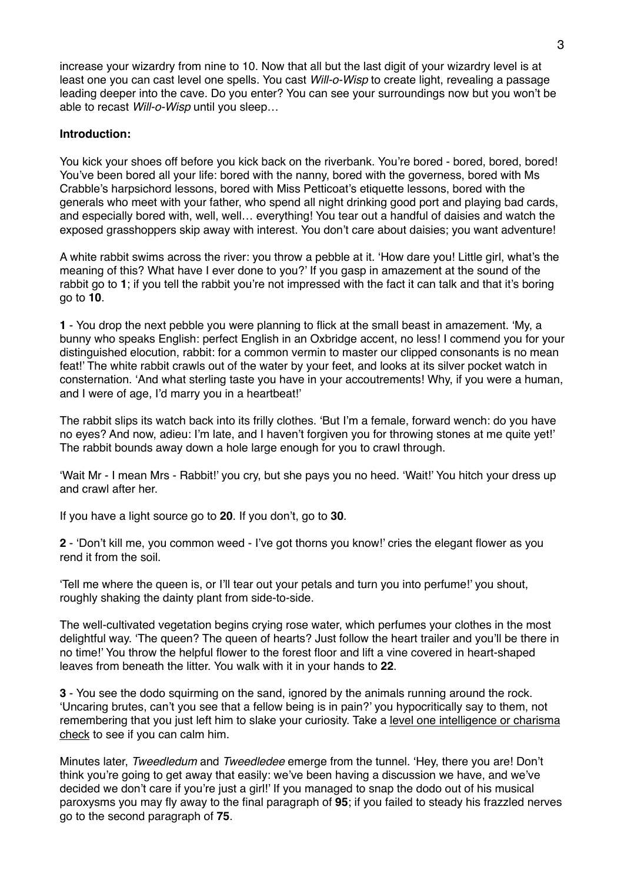increase your wizardry from nine to 10. Now that all but the last digit of your wizardry level is at least one you can cast level one spells. You cast *Will-o-Wisp* to create light, revealing a passage leading deeper into the cave. Do you enter? You can see your surroundings now but you won't be able to recast *Will-o-Wisp* until you sleep…

### **Introduction:**

You kick your shoes off before you kick back on the riverbank. You're bored - bored, bored, bored! You've been bored all your life: bored with the nanny, bored with the governess, bored with Ms Crabble's harpsichord lessons, bored with Miss Petticoat's etiquette lessons, bored with the generals who meet with your father, who spend all night drinking good port and playing bad cards, and especially bored with, well, well… everything! You tear out a handful of daisies and watch the exposed grasshoppers skip away with interest. You don't care about daisies; you want adventure!

A white rabbit swims across the river: you throw a pebble at it. 'How dare you! Little girl, what's the meaning of this? What have I ever done to you?' If you gasp in amazement at the sound of the rabbit go to **1**; if you tell the rabbit you're not impressed with the fact it can talk and that it's boring go to **10**.

**1** - You drop the next pebble you were planning to flick at the small beast in amazement. 'My, a bunny who speaks English: perfect English in an Oxbridge accent, no less! I commend you for your distinguished elocution, rabbit: for a common vermin to master our clipped consonants is no mean feat!' The white rabbit crawls out of the water by your feet, and looks at its silver pocket watch in consternation. 'And what sterling taste you have in your accoutrements! Why, if you were a human, and I were of age, I'd marry you in a heartbeat!'

The rabbit slips its watch back into its frilly clothes. 'But I'm a female, forward wench: do you have no eyes? And now, adieu: I'm late, and I haven't forgiven you for throwing stones at me quite yet!' The rabbit bounds away down a hole large enough for you to crawl through.

'Wait Mr - I mean Mrs - Rabbit!' you cry, but she pays you no heed. 'Wait!' You hitch your dress up and crawl after her.

If you have a light source go to **20**. If you don't, go to **30**.

**2** - 'Don't kill me, you common weed - I've got thorns you know!' cries the elegant flower as you rend it from the soil.

'Tell me where the queen is, or I'll tear out your petals and turn you into perfume!' you shout, roughly shaking the dainty plant from side-to-side.

The well-cultivated vegetation begins crying rose water, which perfumes your clothes in the most delightful way. 'The queen? The queen of hearts? Just follow the heart trailer and you'll be there in no time!' You throw the helpful flower to the forest floor and lift a vine covered in heart-shaped leaves from beneath the litter. You walk with it in your hands to **22**.

**3** - You see the dodo squirming on the sand, ignored by the animals running around the rock. 'Uncaring brutes, can't you see that a fellow being is in pain?' you hypocritically say to them, not remembering that you just left him to slake your curiosity. Take a level one intelligence or charisma check to see if you can calm him.

Minutes later, *Tweedledum* and *Tweedledee* emerge from the tunnel. 'Hey, there you are! Don't think you're going to get away that easily: we've been having a discussion we have, and we've decided we don't care if you're just a girl!' If you managed to snap the dodo out of his musical paroxysms you may fly away to the final paragraph of **95**; if you failed to steady his frazzled nerves go to the second paragraph of **75**.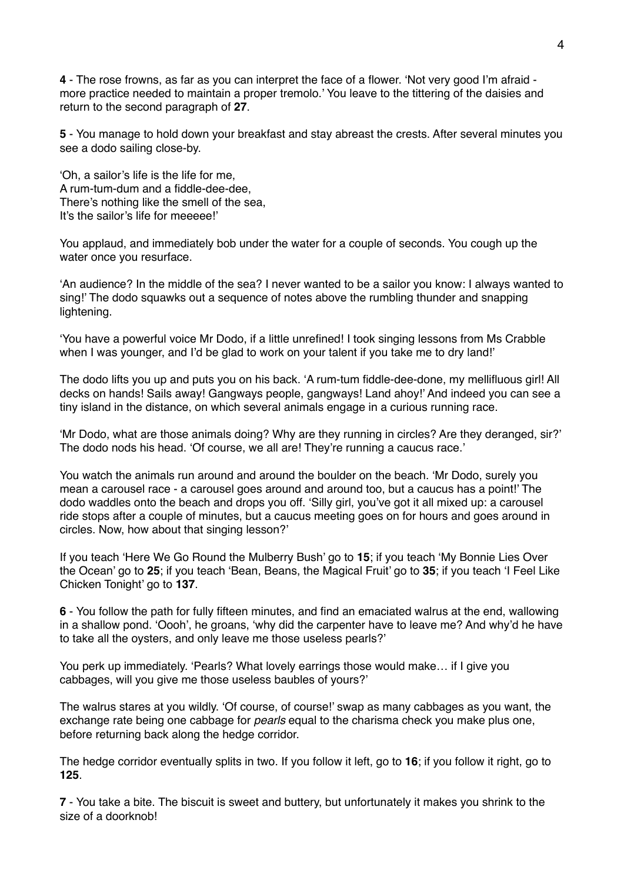**4** - The rose frowns, as far as you can interpret the face of a flower. 'Not very good I'm afraid more practice needed to maintain a proper tremolo.' You leave to the tittering of the daisies and return to the second paragraph of **27**.

**5** - You manage to hold down your breakfast and stay abreast the crests. After several minutes you see a dodo sailing close-by.

'Oh, a sailor's life is the life for me, A rum-tum-dum and a fiddle-dee-dee, There's nothing like the smell of the sea, It's the sailor's life for meeeee!'

You applaud, and immediately bob under the water for a couple of seconds. You cough up the water once you resurface.

'An audience? In the middle of the sea? I never wanted to be a sailor you know: I always wanted to sing!' The dodo squawks out a sequence of notes above the rumbling thunder and snapping lightening.

'You have a powerful voice Mr Dodo, if a little unrefined! I took singing lessons from Ms Crabble when I was younger, and I'd be glad to work on your talent if you take me to dry land!'

The dodo lifts you up and puts you on his back. 'A rum-tum fiddle-dee-done, my mellifluous girl! All decks on hands! Sails away! Gangways people, gangways! Land ahoy!' And indeed you can see a tiny island in the distance, on which several animals engage in a curious running race.

'Mr Dodo, what are those animals doing? Why are they running in circles? Are they deranged, sir?' The dodo nods his head. 'Of course, we all are! They're running a caucus race.'

You watch the animals run around and around the boulder on the beach. 'Mr Dodo, surely you mean a carousel race - a carousel goes around and around too, but a caucus has a point!' The dodo waddles onto the beach and drops you off. 'Silly girl, you've got it all mixed up: a carousel ride stops after a couple of minutes, but a caucus meeting goes on for hours and goes around in circles. Now, how about that singing lesson?'

If you teach 'Here We Go Round the Mulberry Bush' go to **15**; if you teach 'My Bonnie Lies Over the Ocean' go to **25**; if you teach 'Bean, Beans, the Magical Fruit' go to **35**; if you teach 'I Feel Like Chicken Tonight' go to **137**.

**6** - You follow the path for fully fifteen minutes, and find an emaciated walrus at the end, wallowing in a shallow pond. 'Oooh', he groans, 'why did the carpenter have to leave me? And why'd he have to take all the oysters, and only leave me those useless pearls?'

You perk up immediately. 'Pearls? What lovely earrings those would make… if I give you cabbages, will you give me those useless baubles of yours?'

The walrus stares at you wildly. 'Of course, of course!' swap as many cabbages as you want, the exchange rate being one cabbage for *pearls* equal to the charisma check you make plus one, before returning back along the hedge corridor.

The hedge corridor eventually splits in two. If you follow it left, go to **16**; if you follow it right, go to **125**.

**7** - You take a bite. The biscuit is sweet and buttery, but unfortunately it makes you shrink to the size of a doorknob!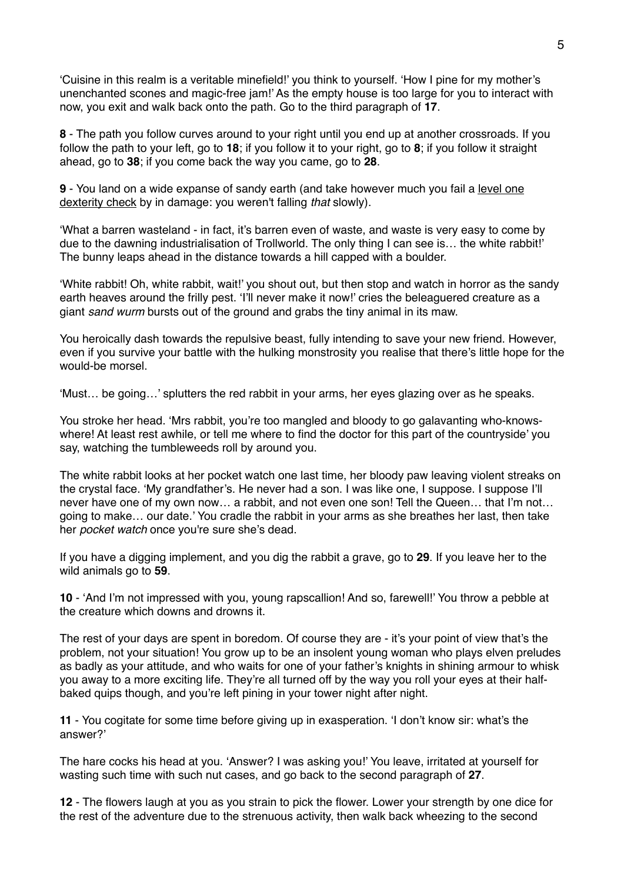'Cuisine in this realm is a veritable minefield!' you think to yourself. 'How I pine for my mother's unenchanted scones and magic-free jam!' As the empty house is too large for you to interact with now, you exit and walk back onto the path. Go to the third paragraph of **17**.

**8** - The path you follow curves around to your right until you end up at another crossroads. If you follow the path to your left, go to **18**; if you follow it to your right, go to **8**; if you follow it straight ahead, go to **38**; if you come back the way you came, go to **28**.

**9** - You land on a wide expanse of sandy earth (and take however much you fail a level one dexterity check by in damage: you weren't falling *that* slowly).

'What a barren wasteland - in fact, it's barren even of waste, and waste is very easy to come by due to the dawning industrialisation of Trollworld. The only thing I can see is… the white rabbit!' The bunny leaps ahead in the distance towards a hill capped with a boulder.

'White rabbit! Oh, white rabbit, wait!' you shout out, but then stop and watch in horror as the sandy earth heaves around the frilly pest. 'I'll never make it now!' cries the beleaguered creature as a giant *sand wurm* bursts out of the ground and grabs the tiny animal in its maw.

You heroically dash towards the repulsive beast, fully intending to save your new friend. However, even if you survive your battle with the hulking monstrosity you realise that there's little hope for the would-be morsel.

'Must… be going…' splutters the red rabbit in your arms, her eyes glazing over as he speaks.

You stroke her head. 'Mrs rabbit, you're too mangled and bloody to go galavanting who-knowswhere! At least rest awhile, or tell me where to find the doctor for this part of the countryside' you say, watching the tumbleweeds roll by around you.

The white rabbit looks at her pocket watch one last time, her bloody paw leaving violent streaks on the crystal face. 'My grandfather's. He never had a son. I was like one, I suppose. I suppose I'll never have one of my own now… a rabbit, and not even one son! Tell the Queen… that I'm not… going to make… our date.' You cradle the rabbit in your arms as she breathes her last, then take her *pocket watch* once you're sure she's dead.

If you have a digging implement, and you dig the rabbit a grave, go to **29**. If you leave her to the wild animals go to **59**.

**10** - 'And I'm not impressed with you, young rapscallion! And so, farewell!' You throw a pebble at the creature which downs and drowns it.

The rest of your days are spent in boredom. Of course they are - it's your point of view that's the problem, not your situation! You grow up to be an insolent young woman who plays elven preludes as badly as your attitude, and who waits for one of your father's knights in shining armour to whisk you away to a more exciting life. They're all turned off by the way you roll your eyes at their halfbaked quips though, and you're left pining in your tower night after night.

**11** - You cogitate for some time before giving up in exasperation. 'I don't know sir: what's the answer?'

The hare cocks his head at you. 'Answer? I was asking you!' You leave, irritated at yourself for wasting such time with such nut cases, and go back to the second paragraph of **27**.

**12** - The flowers laugh at you as you strain to pick the flower. Lower your strength by one dice for the rest of the adventure due to the strenuous activity, then walk back wheezing to the second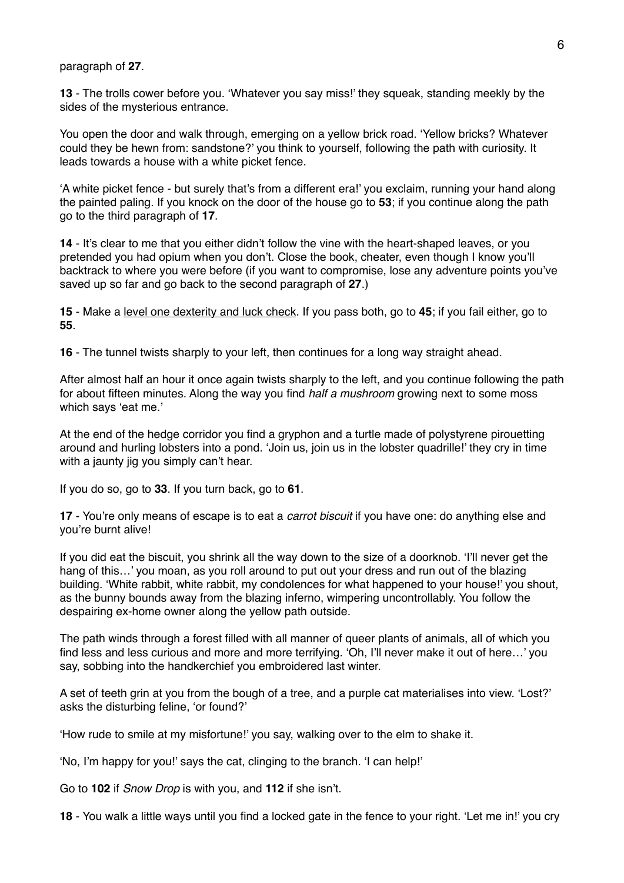#### paragraph of **27**.

**13** - The trolls cower before you. 'Whatever you say miss!' they squeak, standing meekly by the sides of the mysterious entrance.

You open the door and walk through, emerging on a yellow brick road. 'Yellow bricks? Whatever could they be hewn from: sandstone?' you think to yourself, following the path with curiosity. It leads towards a house with a white picket fence.

'A white picket fence - but surely that's from a different era!' you exclaim, running your hand along the painted paling. If you knock on the door of the house go to **53**; if you continue along the path go to the third paragraph of **17**.

**14** - It's clear to me that you either didn't follow the vine with the heart-shaped leaves, or you pretended you had opium when you don't. Close the book, cheater, even though I know you'll backtrack to where you were before (if you want to compromise, lose any adventure points you've saved up so far and go back to the second paragraph of **27**.)

**15** - Make a level one dexterity and luck check. If you pass both, go to **45**; if you fail either, go to **55**.

**16** - The tunnel twists sharply to your left, then continues for a long way straight ahead.

After almost half an hour it once again twists sharply to the left, and you continue following the path for about fifteen minutes. Along the way you find *half a mushroom* growing next to some moss which says 'eat me.'

At the end of the hedge corridor you find a gryphon and a turtle made of polystyrene pirouetting around and hurling lobsters into a pond. 'Join us, join us in the lobster quadrille!' they cry in time with a jaunty jig you simply can't hear.

If you do so, go to **33**. If you turn back, go to **61**.

**17** - You're only means of escape is to eat a *carrot biscuit* if you have one: do anything else and you're burnt alive!

If you did eat the biscuit, you shrink all the way down to the size of a doorknob. 'I'll never get the hang of this...' you moan, as you roll around to put out your dress and run out of the blazing building. 'White rabbit, white rabbit, my condolences for what happened to your house!' you shout, as the bunny bounds away from the blazing inferno, wimpering uncontrollably. You follow the despairing ex-home owner along the yellow path outside.

The path winds through a forest filled with all manner of queer plants of animals, all of which you find less and less curious and more and more terrifying. 'Oh, I'll never make it out of here…' you say, sobbing into the handkerchief you embroidered last winter.

A set of teeth grin at you from the bough of a tree, and a purple cat materialises into view. 'Lost?' asks the disturbing feline, 'or found?'

'How rude to smile at my misfortune!' you say, walking over to the elm to shake it.

'No, I'm happy for you!' says the cat, clinging to the branch. 'I can help!'

Go to **102** if *Snow Drop* is with you, and **112** if she isn't.

**18** - You walk a little ways until you find a locked gate in the fence to your right. 'Let me in!' you cry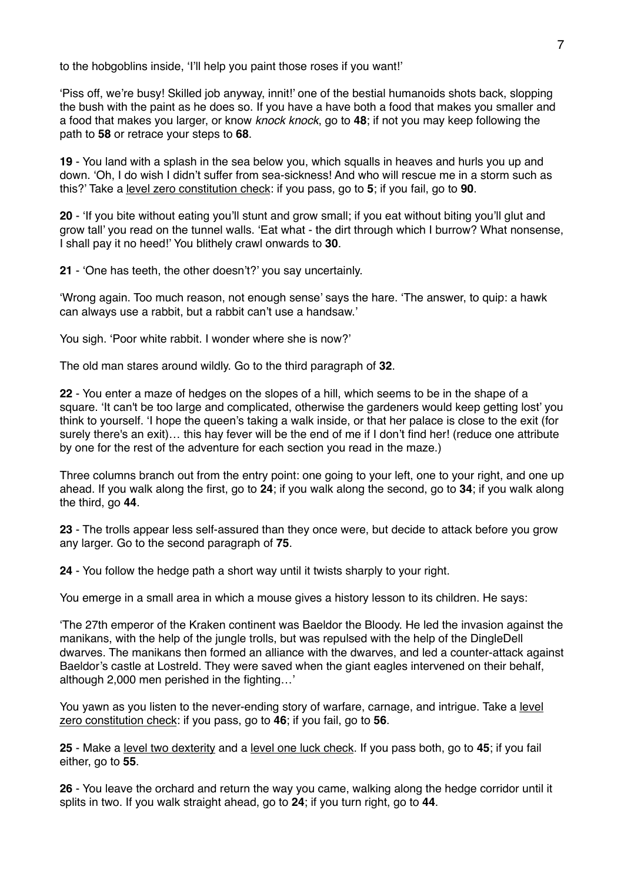to the hobgoblins inside, 'I'll help you paint those roses if you want!'

'Piss off, we're busy! Skilled job anyway, innit!' one of the bestial humanoids shots back, slopping the bush with the paint as he does so. If you have a have both a food that makes you smaller and a food that makes you larger, or know *knock knock*, go to **48**; if not you may keep following the path to **58** or retrace your steps to **68**.

**19** - You land with a splash in the sea below you, which squalls in heaves and hurls you up and down. 'Oh, I do wish I didn't suffer from sea-sickness! And who will rescue me in a storm such as this?' Take a level zero constitution check: if you pass, go to **5**; if you fail, go to **90**.

**20** - 'If you bite without eating you'll stunt and grow small; if you eat without biting you'll glut and grow tall' you read on the tunnel walls. 'Eat what - the dirt through which I burrow? What nonsense, I shall pay it no heed!' You blithely crawl onwards to **30**.

**21** - 'One has teeth, the other doesn't?' you say uncertainly.

'Wrong again. Too much reason, not enough sense' says the hare. 'The answer, to quip: a hawk can always use a rabbit, but a rabbit can't use a handsaw.'

You sigh. 'Poor white rabbit. I wonder where she is now?'

The old man stares around wildly. Go to the third paragraph of **32**.

**22** - You enter a maze of hedges on the slopes of a hill, which seems to be in the shape of a square. 'It can't be too large and complicated, otherwise the gardeners would keep getting lost' you think to yourself. 'I hope the queen's taking a walk inside, or that her palace is close to the exit (for surely there's an exit)… this hay fever will be the end of me if I don't find her! (reduce one attribute by one for the rest of the adventure for each section you read in the maze.)

Three columns branch out from the entry point: one going to your left, one to your right, and one up ahead. If you walk along the first, go to **24**; if you walk along the second, go to **34**; if you walk along the third, go **44**.

**23** - The trolls appear less self-assured than they once were, but decide to attack before you grow any larger. Go to the second paragraph of **75**.

**24** - You follow the hedge path a short way until it twists sharply to your right.

You emerge in a small area in which a mouse gives a history lesson to its children. He says:

'The 27th emperor of the Kraken continent was Baeldor the Bloody. He led the invasion against the manikans, with the help of the jungle trolls, but was repulsed with the help of the DingleDell dwarves. The manikans then formed an alliance with the dwarves, and led a counter-attack against Baeldor's castle at Lostreld. They were saved when the giant eagles intervened on their behalf, although 2,000 men perished in the fighting…'

You yawn as you listen to the never-ending story of warfare, carnage, and intrigue. Take a level zero constitution check: if you pass, go to **46**; if you fail, go to **56**.

**25** - Make a level two dexterity and a level one luck check. If you pass both, go to **45**; if you fail either, go to **55**.

**26** - You leave the orchard and return the way you came, walking along the hedge corridor until it splits in two. If you walk straight ahead, go to **24**; if you turn right, go to **44**.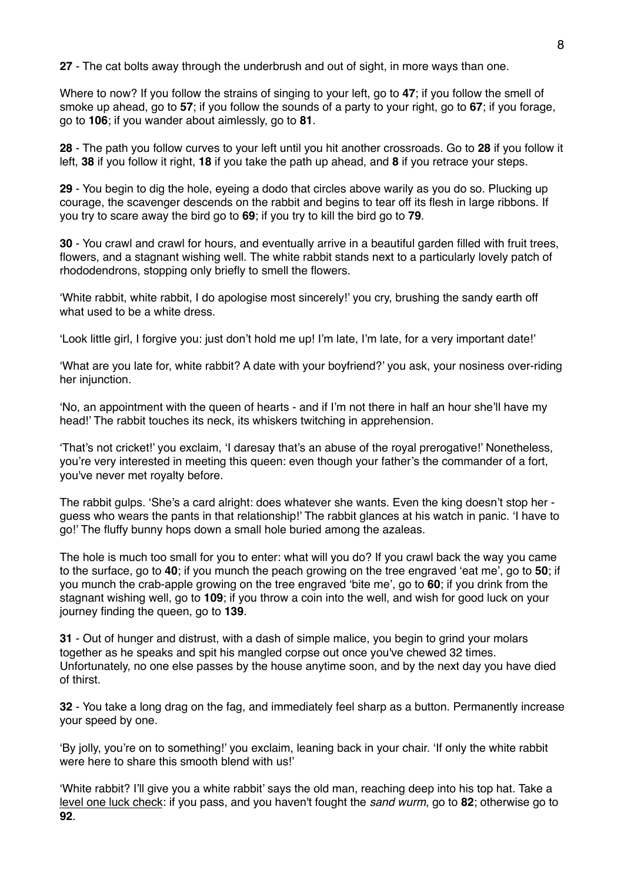**27** - The cat bolts away through the underbrush and out of sight, in more ways than one.

Where to now? If you follow the strains of singing to your left, go to **47**; if you follow the smell of smoke up ahead, go to **57**; if you follow the sounds of a party to your right, go to **67**; if you forage, go to **106**; if you wander about aimlessly, go to **81**.

**28** - The path you follow curves to your left until you hit another crossroads. Go to **28** if you follow it left, **38** if you follow it right, **18** if you take the path up ahead, and **8** if you retrace your steps.

**29** - You begin to dig the hole, eyeing a dodo that circles above warily as you do so. Plucking up courage, the scavenger descends on the rabbit and begins to tear off its flesh in large ribbons. If you try to scare away the bird go to **69**; if you try to kill the bird go to **79**.

**30** - You crawl and crawl for hours, and eventually arrive in a beautiful garden filled with fruit trees, flowers, and a stagnant wishing well. The white rabbit stands next to a particularly lovely patch of rhododendrons, stopping only briefly to smell the flowers.

'White rabbit, white rabbit, I do apologise most sincerely!' you cry, brushing the sandy earth off what used to be a white dress.

'Look little girl, I forgive you: just don't hold me up! I'm late, I'm late, for a very important date!'

'What are you late for, white rabbit? A date with your boyfriend?' you ask, your nosiness over-riding her injunction.

'No, an appointment with the queen of hearts - and if I'm not there in half an hour she'll have my head!' The rabbit touches its neck, its whiskers twitching in apprehension.

'That's not cricket!' you exclaim, 'I daresay that's an abuse of the royal prerogative!' Nonetheless, you're very interested in meeting this queen: even though your father's the commander of a fort, you've never met royalty before.

The rabbit gulps. 'She's a card alright: does whatever she wants. Even the king doesn't stop her guess who wears the pants in that relationship!' The rabbit glances at his watch in panic. 'I have to go!' The fluffy bunny hops down a small hole buried among the azaleas.

The hole is much too small for you to enter: what will you do? If you crawl back the way you came to the surface, go to **40**; if you munch the peach growing on the tree engraved 'eat me', go to **50**; if you munch the crab-apple growing on the tree engraved 'bite me', go to **60**; if you drink from the stagnant wishing well, go to **109**; if you throw a coin into the well, and wish for good luck on your journey finding the queen, go to **139**.

**31** - Out of hunger and distrust, with a dash of simple malice, you begin to grind your molars together as he speaks and spit his mangled corpse out once you've chewed 32 times. Unfortunately, no one else passes by the house anytime soon, and by the next day you have died of thirst.

**32** - You take a long drag on the fag, and immediately feel sharp as a button. Permanently increase your speed by one.

'By jolly, you're on to something!' you exclaim, leaning back in your chair. 'If only the white rabbit were here to share this smooth blend with us!'

'White rabbit? I'll give you a white rabbit' says the old man, reaching deep into his top hat. Take a level one luck check: if you pass, and you haven't fought the *sand wurm*, go to **82**; otherwise go to **92**.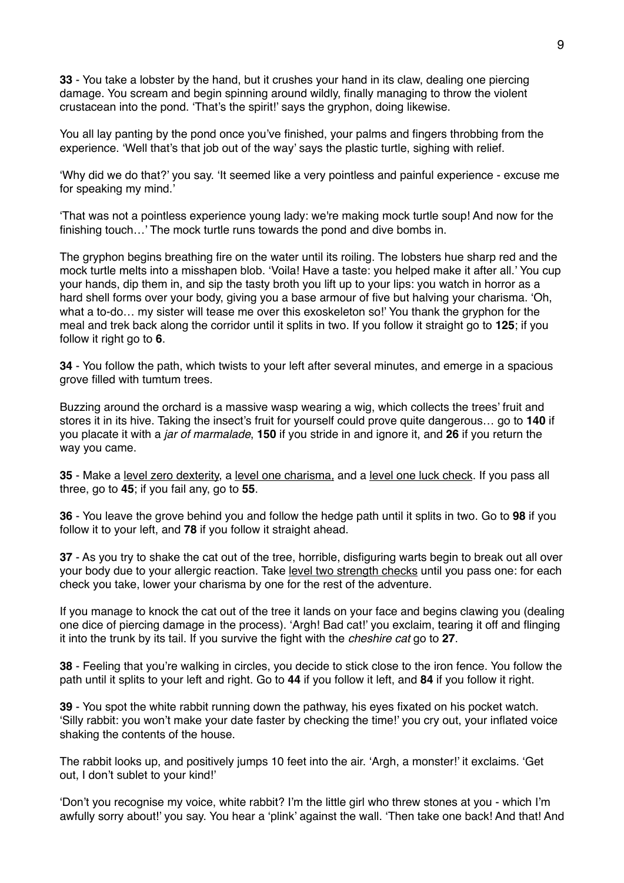**33** - You take a lobster by the hand, but it crushes your hand in its claw, dealing one piercing damage. You scream and begin spinning around wildly, finally managing to throw the violent crustacean into the pond. 'That's the spirit!' says the gryphon, doing likewise.

You all lay panting by the pond once you've finished, your palms and fingers throbbing from the experience. 'Well that's that job out of the way' says the plastic turtle, sighing with relief.

'Why did we do that?' you say. 'It seemed like a very pointless and painful experience - excuse me for speaking my mind.'

'That was not a pointless experience young lady: we're making mock turtle soup! And now for the finishing touch…' The mock turtle runs towards the pond and dive bombs in.

The gryphon begins breathing fire on the water until its roiling. The lobsters hue sharp red and the mock turtle melts into a misshapen blob. 'Voila! Have a taste: you helped make it after all.' You cup your hands, dip them in, and sip the tasty broth you lift up to your lips: you watch in horror as a hard shell forms over your body, giving you a base armour of five but halving your charisma. 'Oh, what a to-do... my sister will tease me over this exoskeleton so!' You thank the gryphon for the meal and trek back along the corridor until it splits in two. If you follow it straight go to **125**; if you follow it right go to **6**.

**34** - You follow the path, which twists to your left after several minutes, and emerge in a spacious grove filled with tumtum trees.

Buzzing around the orchard is a massive wasp wearing a wig, which collects the trees' fruit and stores it in its hive. Taking the insect's fruit for yourself could prove quite dangerous… go to **140** if you placate it with a *jar of marmalade*, **150** if you stride in and ignore it, and **26** if you return the way you came.

**35** - Make a level zero dexterity, a level one charisma*,* and a level one luck check. If you pass all three, go to **45**; if you fail any, go to **55**.

**36** - You leave the grove behind you and follow the hedge path until it splits in two. Go to **98** if you follow it to your left, and **78** if you follow it straight ahead.

**37** - As you try to shake the cat out of the tree, horrible, disfiguring warts begin to break out all over your body due to your allergic reaction. Take level two strength checks until you pass one: for each check you take, lower your charisma by one for the rest of the adventure.

If you manage to knock the cat out of the tree it lands on your face and begins clawing you (dealing one dice of piercing damage in the process). 'Argh! Bad cat!' you exclaim, tearing it off and flinging it into the trunk by its tail. If you survive the fight with the *cheshire cat* go to **27**.

**38** - Feeling that you're walking in circles, you decide to stick close to the iron fence. You follow the path until it splits to your left and right. Go to **44** if you follow it left, and **84** if you follow it right.

**39** - You spot the white rabbit running down the pathway, his eyes fixated on his pocket watch. 'Silly rabbit: you won't make your date faster by checking the time!' you cry out, your inflated voice shaking the contents of the house.

The rabbit looks up, and positively jumps 10 feet into the air. 'Argh, a monster!' it exclaims. 'Get out, I don't sublet to your kind!'

'Don't you recognise my voice, white rabbit? I'm the little girl who threw stones at you - which I'm awfully sorry about!' you say. You hear a 'plink' against the wall. 'Then take one back! And that! And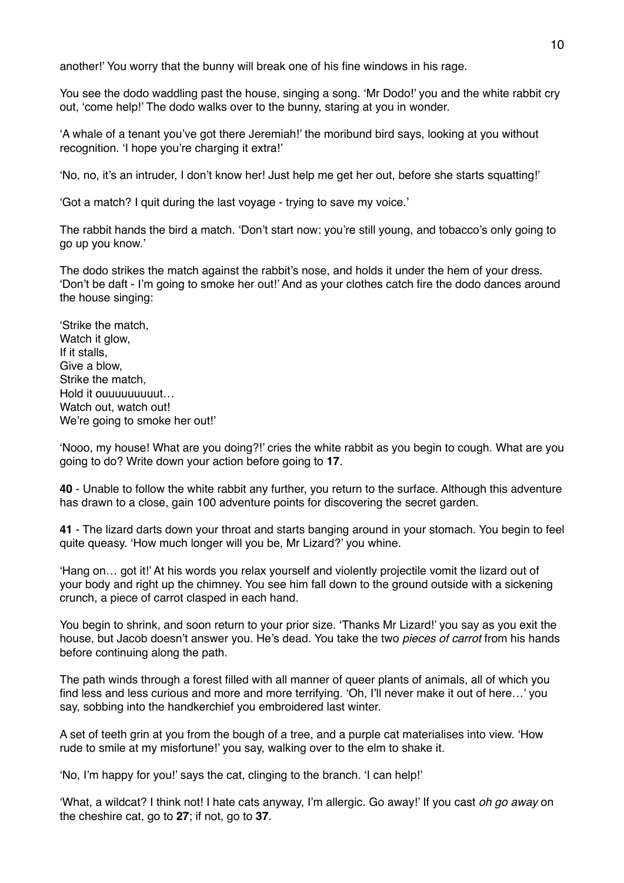another!' You worry that the bunny will break one of his fine windows in his rage.

You see the dodo waddling past the house, singing a song. 'Mr Dodo!' you and the white rabbit cry out, 'come help!' The dodo walks over to the bunny, staring at you in wonder.

'A whale of a tenant you've got there Jeremiah!' the moribund bird says, looking at you without recognition. 'I hope you're charging it extra!'

'No, no, it's an intruder, I don't know her! Just help me get her out, before she starts squatting!'

'Got a match? I quit during the last voyage - trying to save my voice.'

The rabbit hands the bird a match. 'Don't start now: you're still young, and tobacco's only going to go up you know.'

The dodo strikes the match against the rabbit's nose, and holds it under the hem of your dress. 'Don't be daft - I'm going to smoke her out!' And as your clothes catch fire the dodo dances around the house singing:

'Strike the match, Watch it glow, If it stalls, Give a blow, Strike the match, Hold it ouuuuuuuuut… Watch out, watch out! We're going to smoke her out!'

'Nooo, my house! What are you doing?!' cries the white rabbit as you begin to cough. What are you going to do? Write down your action before going to **17**.

**40** - Unable to follow the white rabbit any further, you return to the surface. Although this adventure has drawn to a close, gain 100 adventure points for discovering the secret garden.

**41** - The lizard darts down your throat and starts banging around in your stomach. You begin to feel quite queasy. 'How much longer will you be, Mr Lizard?' you whine.

'Hang on… got it!' At his words you relax yourself and violently projectile vomit the lizard out of your body and right up the chimney. You see him fall down to the ground outside with a sickening crunch, a piece of carrot clasped in each hand.

You begin to shrink, and soon return to your prior size. 'Thanks Mr Lizard!' you say as you exit the house, but Jacob doesn't answer you. He's dead. You take the two *pieces of carrot* from his hands before continuing along the path.

The path winds through a forest filled with all manner of queer plants of animals, all of which you find less and less curious and more and more terrifying. 'Oh, I'll never make it out of here…' you say, sobbing into the handkerchief you embroidered last winter.

A set of teeth grin at you from the bough of a tree, and a purple cat materialises into view. 'How rude to smile at my misfortune!' you say, walking over to the elm to shake it.

'No, I'm happy for you!' says the cat, clinging to the branch. 'I can help!'

'What, a wildcat? I think not! I hate cats anyway, I'm allergic. Go away!' If you cast *oh go away* on the cheshire cat, go to **27**; if not, go to **37**.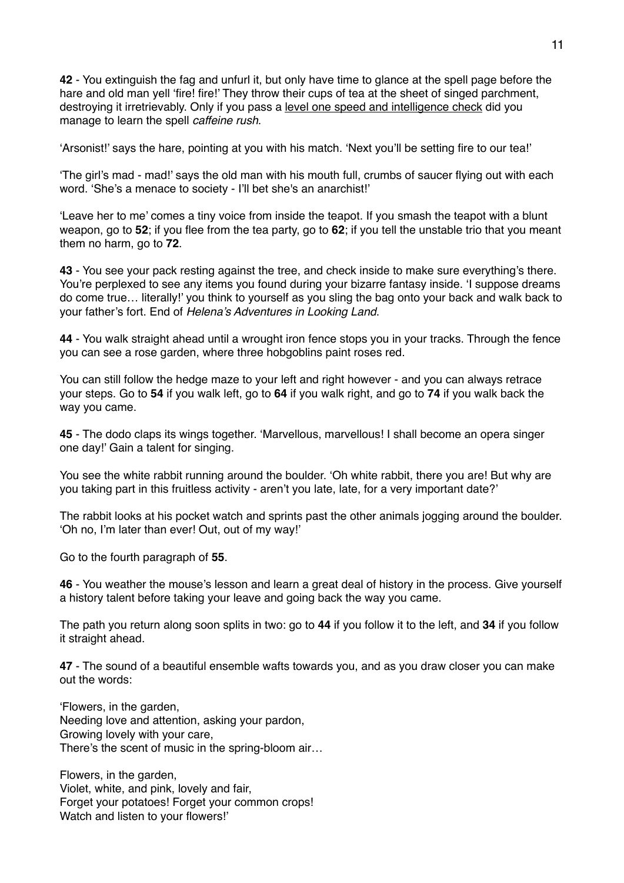**42** - You extinguish the fag and unfurl it, but only have time to glance at the spell page before the hare and old man yell 'fire! fire!' They throw their cups of tea at the sheet of singed parchment, destroying it irretrievably. Only if you pass a level one speed and intelligence check did you manage to learn the spell *caffeine rush*.

'Arsonist!' says the hare, pointing at you with his match. 'Next you'll be setting fire to our tea!'

'The girl's mad - mad!' says the old man with his mouth full, crumbs of saucer flying out with each word. 'She's a menace to society - I'll bet she's an anarchist!'

'Leave her to me' comes a tiny voice from inside the teapot. If you smash the teapot with a blunt weapon, go to **52**; if you flee from the tea party, go to **62**; if you tell the unstable trio that you meant them no harm, go to **72**.

**43** - You see your pack resting against the tree, and check inside to make sure everything's there. You're perplexed to see any items you found during your bizarre fantasy inside. 'I suppose dreams do come true… literally!' you think to yourself as you sling the bag onto your back and walk back to your father's fort. End of *Helena's Adventures in Looking Land*.

**44** - You walk straight ahead until a wrought iron fence stops you in your tracks. Through the fence you can see a rose garden, where three hobgoblins paint roses red.

You can still follow the hedge maze to your left and right however - and you can always retrace your steps. Go to **54** if you walk left, go to **64** if you walk right, and go to **74** if you walk back the way you came.

**45** - The dodo claps its wings together. 'Marvellous, marvellous! I shall become an opera singer one day!' Gain a talent for singing.

You see the white rabbit running around the boulder. 'Oh white rabbit, there you are! But why are you taking part in this fruitless activity - aren't you late, late, for a very important date?'

The rabbit looks at his pocket watch and sprints past the other animals jogging around the boulder. 'Oh no, I'm later than ever! Out, out of my way!'

Go to the fourth paragraph of **55**.

**46** - You weather the mouse's lesson and learn a great deal of history in the process. Give yourself a history talent before taking your leave and going back the way you came.

The path you return along soon splits in two: go to **44** if you follow it to the left, and **34** if you follow it straight ahead.

**47** - The sound of a beautiful ensemble wafts towards you, and as you draw closer you can make out the words:

'Flowers, in the garden, Needing love and attention, asking your pardon, Growing lovely with your care, There's the scent of music in the spring-bloom air…

Flowers, in the garden, Violet, white, and pink, lovely and fair, Forget your potatoes! Forget your common crops! Watch and listen to your flowers!'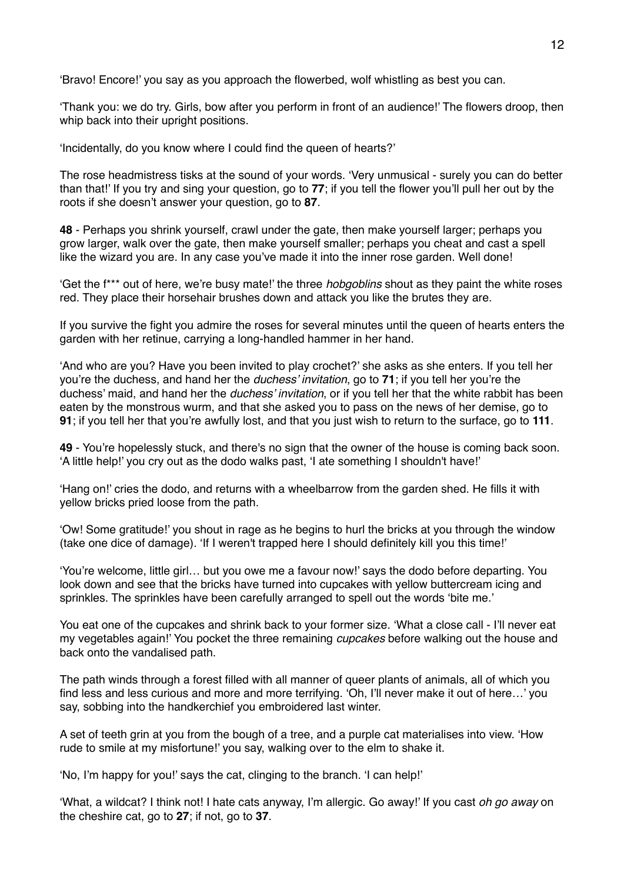'Bravo! Encore!' you say as you approach the flowerbed, wolf whistling as best you can.

'Thank you: we do try. Girls, bow after you perform in front of an audience!' The flowers droop, then whip back into their upright positions.

'Incidentally, do you know where I could find the queen of hearts?'

The rose headmistress tisks at the sound of your words. 'Very unmusical - surely you can do better than that!' If you try and sing your question, go to **77**; if you tell the flower you'll pull her out by the roots if she doesn't answer your question, go to **87**.

**48** - Perhaps you shrink yourself, crawl under the gate, then make yourself larger; perhaps you grow larger, walk over the gate, then make yourself smaller; perhaps you cheat and cast a spell like the wizard you are. In any case you've made it into the inner rose garden. Well done!

'Get the f\*\*\* out of here, we're busy mate!' the three *hobgoblins* shout as they paint the white roses red. They place their horsehair brushes down and attack you like the brutes they are.

If you survive the fight you admire the roses for several minutes until the queen of hearts enters the garden with her retinue, carrying a long-handled hammer in her hand.

'And who are you? Have you been invited to play crochet?' she asks as she enters. If you tell her you're the duchess, and hand her the *duchess' invitation*, go to **71**; if you tell her you're the duchess' maid, and hand her the *duchess' invitation*, or if you tell her that the white rabbit has been eaten by the monstrous wurm, and that she asked you to pass on the news of her demise, go to **91**; if you tell her that you're awfully lost, and that you just wish to return to the surface, go to **111**.

**49** - You're hopelessly stuck, and there's no sign that the owner of the house is coming back soon. 'A little help!' you cry out as the dodo walks past, 'I ate something I shouldn't have!'

'Hang on!' cries the dodo, and returns with a wheelbarrow from the garden shed. He fills it with yellow bricks pried loose from the path.

'Ow! Some gratitude!' you shout in rage as he begins to hurl the bricks at you through the window (take one dice of damage). 'If I weren't trapped here I should definitely kill you this time!'

'You're welcome, little girl… but you owe me a favour now!' says the dodo before departing. You look down and see that the bricks have turned into cupcakes with yellow buttercream icing and sprinkles. The sprinkles have been carefully arranged to spell out the words 'bite me.'

You eat one of the cupcakes and shrink back to your former size. 'What a close call - I'll never eat my vegetables again!' You pocket the three remaining *cupcakes* before walking out the house and back onto the vandalised path.

The path winds through a forest filled with all manner of queer plants of animals, all of which you find less and less curious and more and more terrifying. 'Oh, I'll never make it out of here…' you say, sobbing into the handkerchief you embroidered last winter.

A set of teeth grin at you from the bough of a tree, and a purple cat materialises into view. 'How rude to smile at my misfortune!' you say, walking over to the elm to shake it.

'No, I'm happy for you!' says the cat, clinging to the branch. 'I can help!'

'What, a wildcat? I think not! I hate cats anyway, I'm allergic. Go away!' If you cast *oh go away* on the cheshire cat, go to **27**; if not, go to **37**.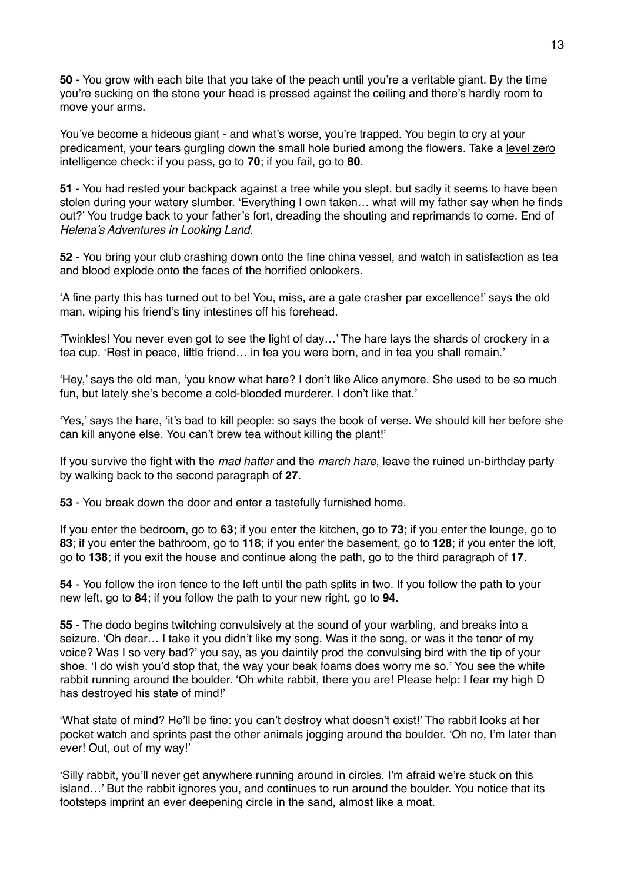**50** - You grow with each bite that you take of the peach until you're a veritable giant. By the time you're sucking on the stone your head is pressed against the ceiling and there's hardly room to move your arms.

You've become a hideous giant - and what's worse, you're trapped. You begin to cry at your predicament, your tears gurgling down the small hole buried among the flowers. Take a level zero intelligence check: if you pass, go to **70**; if you fail, go to **80**.

**51** - You had rested your backpack against a tree while you slept, but sadly it seems to have been stolen during your watery slumber. 'Everything I own taken… what will my father say when he finds out?' You trudge back to your father's fort, dreading the shouting and reprimands to come. End of *Helena's Adventures in Looking Land*.

**52** - You bring your club crashing down onto the fine china vessel, and watch in satisfaction as tea and blood explode onto the faces of the horrified onlookers.

'A fine party this has turned out to be! You, miss, are a gate crasher par excellence!' says the old man, wiping his friend's tiny intestines off his forehead.

'Twinkles! You never even got to see the light of day…' The hare lays the shards of crockery in a tea cup. 'Rest in peace, little friend… in tea you were born, and in tea you shall remain.'

'Hey,' says the old man, 'you know what hare? I don't like Alice anymore. She used to be so much fun, but lately she's become a cold-blooded murderer. I don't like that.'

'Yes,' says the hare, 'it's bad to kill people: so says the book of verse. We should kill her before she can kill anyone else. You can't brew tea without killing the plant!'

If you survive the fight with the *mad hatter* and the *march hare*, leave the ruined un-birthday party by walking back to the second paragraph of **27**.

**53** - You break down the door and enter a tastefully furnished home.

If you enter the bedroom, go to **63**; if you enter the kitchen, go to **73**; if you enter the lounge, go to **83**; if you enter the bathroom, go to **118**; if you enter the basement, go to **128**; if you enter the loft, go to **138**; if you exit the house and continue along the path, go to the third paragraph of **17**.

**54** - You follow the iron fence to the left until the path splits in two. If you follow the path to your new left, go to **84**; if you follow the path to your new right, go to **94**.

**55** - The dodo begins twitching convulsively at the sound of your warbling, and breaks into a seizure. 'Oh dear… I take it you didn't like my song. Was it the song, or was it the tenor of my voice? Was I so very bad?' you say, as you daintily prod the convulsing bird with the tip of your shoe. 'I do wish you'd stop that, the way your beak foams does worry me so.' You see the white rabbit running around the boulder. 'Oh white rabbit, there you are! Please help: I fear my high D has destroyed his state of mind!'

'What state of mind? He'll be fine: you can't destroy what doesn't exist!' The rabbit looks at her pocket watch and sprints past the other animals jogging around the boulder. 'Oh no, I'm later than ever! Out, out of my way!'

'Silly rabbit, you'll never get anywhere running around in circles. I'm afraid we're stuck on this island…' But the rabbit ignores you, and continues to run around the boulder. You notice that its footsteps imprint an ever deepening circle in the sand, almost like a moat.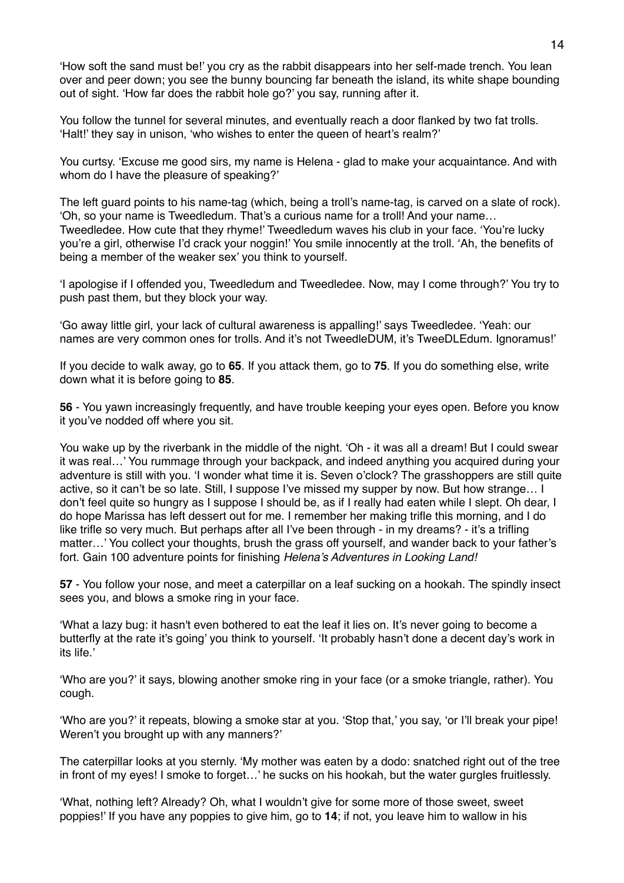'How soft the sand must be!' you cry as the rabbit disappears into her self-made trench. You lean over and peer down; you see the bunny bouncing far beneath the island, its white shape bounding out of sight. 'How far does the rabbit hole go?' you say, running after it.

You follow the tunnel for several minutes, and eventually reach a door flanked by two fat trolls. 'Halt!' they say in unison, 'who wishes to enter the queen of heart's realm?'

You curtsy. 'Excuse me good sirs, my name is Helena - glad to make your acquaintance. And with whom do I have the pleasure of speaking?'

The left guard points to his name-tag (which, being a troll's name-tag, is carved on a slate of rock). 'Oh, so your name is Tweedledum. That's a curious name for a troll! And your name… Tweedledee. How cute that they rhyme!' Tweedledum waves his club in your face. 'You're lucky you're a girl, otherwise I'd crack your noggin!' You smile innocently at the troll. 'Ah, the benefits of being a member of the weaker sex' you think to yourself.

'I apologise if I offended you, Tweedledum and Tweedledee. Now, may I come through?' You try to push past them, but they block your way.

'Go away little girl, your lack of cultural awareness is appalling!' says Tweedledee. 'Yeah: our names are very common ones for trolls. And it's not TweedleDUM, it's TweeDLEdum. Ignoramus!'

If you decide to walk away, go to **65**. If you attack them, go to **75**. If you do something else, write down what it is before going to **85**.

**56** - You yawn increasingly frequently, and have trouble keeping your eyes open. Before you know it you've nodded off where you sit.

You wake up by the riverbank in the middle of the night. 'Oh - it was all a dream! But I could swear it was real…' You rummage through your backpack, and indeed anything you acquired during your adventure is still with you. 'I wonder what time it is. Seven o'clock? The grasshoppers are still quite active, so it can't be so late. Still, I suppose I've missed my supper by now. But how strange… I don't feel quite so hungry as I suppose I should be, as if I really had eaten while I slept. Oh dear, I do hope Marissa has left dessert out for me. I remember her making trifle this morning, and I do like trifle so very much. But perhaps after all I've been through - in my dreams? - it's a trifling matter…' You collect your thoughts, brush the grass off yourself, and wander back to your father's fort. Gain 100 adventure points for finishing *Helena's Adventures in Looking Land!*

**57** - You follow your nose, and meet a caterpillar on a leaf sucking on a hookah. The spindly insect sees you, and blows a smoke ring in your face.

'What a lazy bug: it hasn't even bothered to eat the leaf it lies on. It's never going to become a butterfly at the rate it's going' you think to yourself. 'It probably hasn't done a decent day's work in its life.'

'Who are you?' it says, blowing another smoke ring in your face (or a smoke triangle, rather). You cough.

'Who are you?' it repeats, blowing a smoke star at you. 'Stop that,' you say, 'or I'll break your pipe! Weren't you brought up with any manners?'

The caterpillar looks at you sternly. 'My mother was eaten by a dodo: snatched right out of the tree in front of my eyes! I smoke to forget…' he sucks on his hookah, but the water gurgles fruitlessly.

'What, nothing left? Already? Oh, what I wouldn't give for some more of those sweet, sweet poppies!' If you have any poppies to give him, go to **14**; if not, you leave him to wallow in his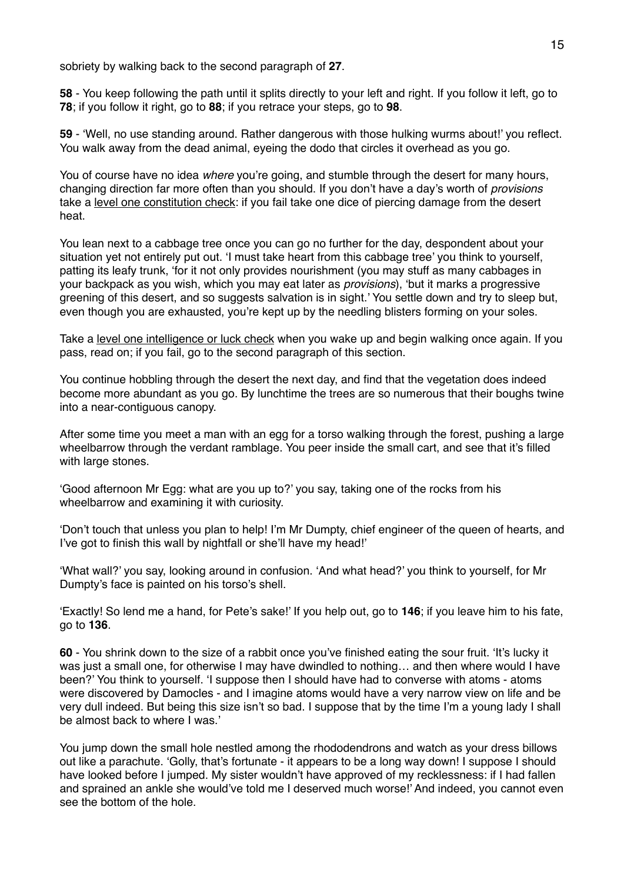sobriety by walking back to the second paragraph of **27**.

**58** - You keep following the path until it splits directly to your left and right. If you follow it left, go to **78**; if you follow it right, go to **88**; if you retrace your steps, go to **98**.

**59** - 'Well, no use standing around. Rather dangerous with those hulking wurms about!' you reflect. You walk away from the dead animal, eyeing the dodo that circles it overhead as you go.

You of course have no idea *where* you're going, and stumble through the desert for many hours, changing direction far more often than you should. If you don't have a day's worth of *provisions* take a level one constitution check: if you fail take one dice of piercing damage from the desert heat.

You lean next to a cabbage tree once you can go no further for the day, despondent about your situation yet not entirely put out. 'I must take heart from this cabbage tree' you think to yourself, patting its leafy trunk, 'for it not only provides nourishment (you may stuff as many cabbages in your backpack as you wish, which you may eat later as *provisions*), 'but it marks a progressive greening of this desert, and so suggests salvation is in sight.' You settle down and try to sleep but, even though you are exhausted, you're kept up by the needling blisters forming on your soles.

Take a level one intelligence or luck check when you wake up and begin walking once again. If you pass, read on; if you fail, go to the second paragraph of this section.

You continue hobbling through the desert the next day, and find that the vegetation does indeed become more abundant as you go. By lunchtime the trees are so numerous that their boughs twine into a near-contiguous canopy.

After some time you meet a man with an egg for a torso walking through the forest, pushing a large wheelbarrow through the verdant ramblage. You peer inside the small cart, and see that it's filled with large stones.

'Good afternoon Mr Egg: what are you up to?' you say, taking one of the rocks from his wheelbarrow and examining it with curiosity.

'Don't touch that unless you plan to help! I'm Mr Dumpty, chief engineer of the queen of hearts, and I've got to finish this wall by nightfall or she'll have my head!'

'What wall?' you say, looking around in confusion. 'And what head?' you think to yourself, for Mr Dumpty's face is painted on his torso's shell.

'Exactly! So lend me a hand, for Pete's sake!' If you help out, go to **146**; if you leave him to his fate, go to **136**.

**60** - You shrink down to the size of a rabbit once you've finished eating the sour fruit. 'It's lucky it was just a small one, for otherwise I may have dwindled to nothing... and then where would I have been?' You think to yourself. 'I suppose then I should have had to converse with atoms - atoms were discovered by Damocles - and I imagine atoms would have a very narrow view on life and be very dull indeed. But being this size isn't so bad. I suppose that by the time I'm a young lady I shall be almost back to where I was.'

You jump down the small hole nestled among the rhododendrons and watch as your dress billows out like a parachute. 'Golly, that's fortunate - it appears to be a long way down! I suppose I should have looked before I jumped. My sister wouldn't have approved of my recklessness: if I had fallen and sprained an ankle she would've told me I deserved much worse!' And indeed, you cannot even see the bottom of the hole.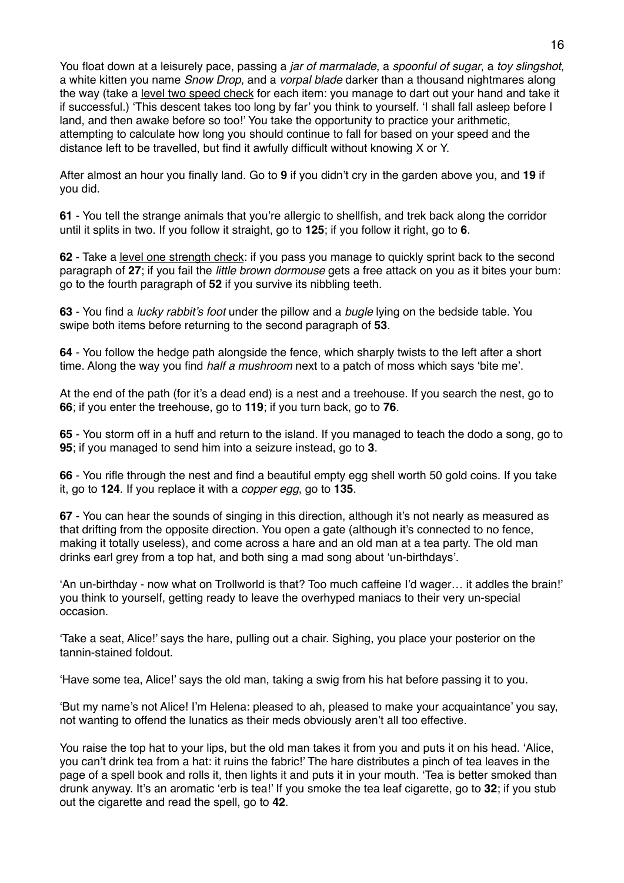You float down at a leisurely pace, passing a *jar of marmalade*, a *spoonful of sugar*, a *toy slingshot*, a white kitten you name *Snow Drop*, and a *vorpal blade* darker than a thousand nightmares along the way (take a level two speed check for each item: you manage to dart out your hand and take it if successful.) 'This descent takes too long by far' you think to yourself. 'I shall fall asleep before I land, and then awake before so too!' You take the opportunity to practice your arithmetic, attempting to calculate how long you should continue to fall for based on your speed and the distance left to be travelled, but find it awfully difficult without knowing X or Y.

After almost an hour you finally land. Go to **9** if you didn't cry in the garden above you, and **19** if you did.

**61** - You tell the strange animals that you're allergic to shellfish, and trek back along the corridor until it splits in two. If you follow it straight, go to **125**; if you follow it right, go to **6**.

**62** - Take a level one strength check: if you pass you manage to quickly sprint back to the second paragraph of **27**; if you fail the *little brown dormouse* gets a free attack on you as it bites your bum: go to the fourth paragraph of **52** if you survive its nibbling teeth.

**63** - You find a *lucky rabbit's foot* under the pillow and a *bugle* lying on the bedside table. You swipe both items before returning to the second paragraph of **53**.

**64** - You follow the hedge path alongside the fence, which sharply twists to the left after a short time. Along the way you find *half a mushroom* next to a patch of moss which says 'bite me'.

At the end of the path (for it's a dead end) is a nest and a treehouse. If you search the nest, go to **66**; if you enter the treehouse, go to **119**; if you turn back, go to **76**.

**65** - You storm off in a huff and return to the island. If you managed to teach the dodo a song, go to **95**; if you managed to send him into a seizure instead, go to **3**.

**66** - You rifle through the nest and find a beautiful empty egg shell worth 50 gold coins. If you take it, go to **124**. If you replace it with a *copper egg*, go to **135**.

**67** - You can hear the sounds of singing in this direction, although it's not nearly as measured as that drifting from the opposite direction. You open a gate (although it's connected to no fence, making it totally useless), and come across a hare and an old man at a tea party. The old man drinks earl grey from a top hat, and both sing a mad song about 'un-birthdays'.

'An un-birthday - now what on Trollworld is that? Too much caffeine I'd wager… it addles the brain!' you think to yourself, getting ready to leave the overhyped maniacs to their very un-special occasion.

'Take a seat, Alice!' says the hare, pulling out a chair. Sighing, you place your posterior on the tannin-stained foldout.

'Have some tea, Alice!' says the old man, taking a swig from his hat before passing it to you.

'But my name's not Alice! I'm Helena: pleased to ah, pleased to make your acquaintance' you say, not wanting to offend the lunatics as their meds obviously aren't all too effective.

You raise the top hat to your lips, but the old man takes it from you and puts it on his head. 'Alice, you can't drink tea from a hat: it ruins the fabric!' The hare distributes a pinch of tea leaves in the page of a spell book and rolls it, then lights it and puts it in your mouth. 'Tea is better smoked than drunk anyway. It's an aromatic 'erb is tea!' If you smoke the tea leaf cigarette, go to **32**; if you stub out the cigarette and read the spell, go to **42**.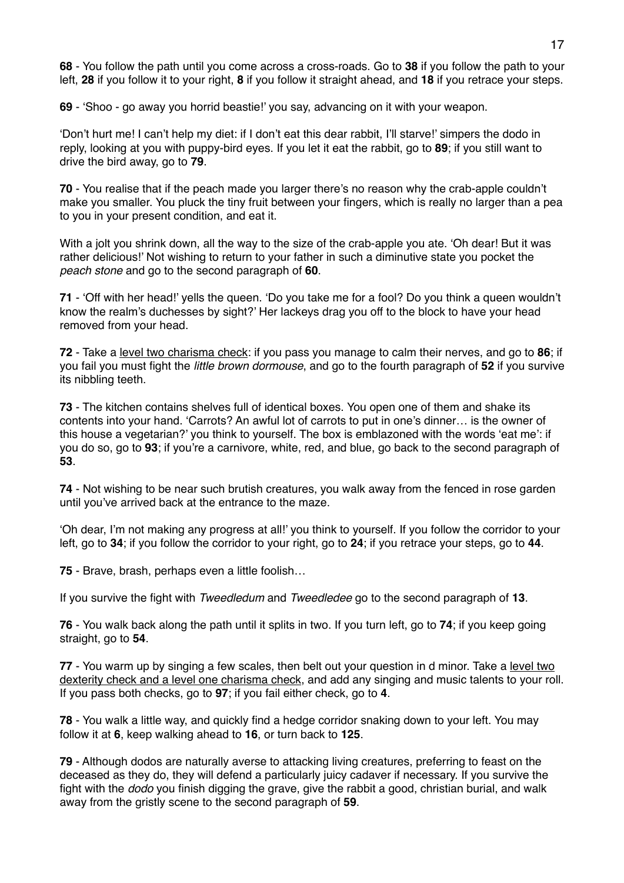**68** - You follow the path until you come across a cross-roads. Go to **38** if you follow the path to your left, **28** if you follow it to your right, **8** if you follow it straight ahead, and **18** if you retrace your steps.

**69** - 'Shoo - go away you horrid beastie!' you say, advancing on it with your weapon.

'Don't hurt me! I can't help my diet: if I don't eat this dear rabbit, I'll starve!' simpers the dodo in reply, looking at you with puppy-bird eyes. If you let it eat the rabbit, go to **89**; if you still want to drive the bird away, go to **79**.

**70** - You realise that if the peach made you larger there's no reason why the crab-apple couldn't make you smaller. You pluck the tiny fruit between your fingers, which is really no larger than a pea to you in your present condition, and eat it.

With a jolt you shrink down, all the way to the size of the crab-apple you ate. 'Oh dear! But it was rather delicious!' Not wishing to return to your father in such a diminutive state you pocket the *peach stone* and go to the second paragraph of **60**.

**71** - 'Off with her head!' yells the queen. 'Do you take me for a fool? Do you think a queen wouldn't know the realm's duchesses by sight?' Her lackeys drag you off to the block to have your head removed from your head.

**72** - Take a level two charisma check: if you pass you manage to calm their nerves, and go to **86**; if you fail you must fight the *little brown dormouse*, and go to the fourth paragraph of **52** if you survive its nibbling teeth.

**73** - The kitchen contains shelves full of identical boxes. You open one of them and shake its contents into your hand. 'Carrots? An awful lot of carrots to put in one's dinner… is the owner of this house a vegetarian?' you think to yourself. The box is emblazoned with the words 'eat me': if you do so, go to **93**; if you're a carnivore, white, red, and blue, go back to the second paragraph of **53**.

**74** - Not wishing to be near such brutish creatures, you walk away from the fenced in rose garden until you've arrived back at the entrance to the maze.

'Oh dear, I'm not making any progress at all!' you think to yourself. If you follow the corridor to your left, go to **34**; if you follow the corridor to your right, go to **24**; if you retrace your steps, go to **44**.

**75** - Brave, brash, perhaps even a little foolish…

If you survive the fight with *Tweedledum* and *Tweedledee* go to the second paragraph of **13**.

**76** - You walk back along the path until it splits in two. If you turn left, go to **74**; if you keep going straight, go to **54**.

**77** - You warm up by singing a few scales, then belt out your question in d minor. Take a level two dexterity check and a level one charisma check, and add any singing and music talents to your roll. If you pass both checks, go to **97**; if you fail either check, go to **4**.

**78** - You walk a little way, and quickly find a hedge corridor snaking down to your left. You may follow it at **6**, keep walking ahead to **16**, or turn back to **125**.

**79** - Although dodos are naturally averse to attacking living creatures, preferring to feast on the deceased as they do, they will defend a particularly juicy cadaver if necessary. If you survive the fight with the *dodo* you finish digging the grave, give the rabbit a good, christian burial, and walk away from the gristly scene to the second paragraph of **59**.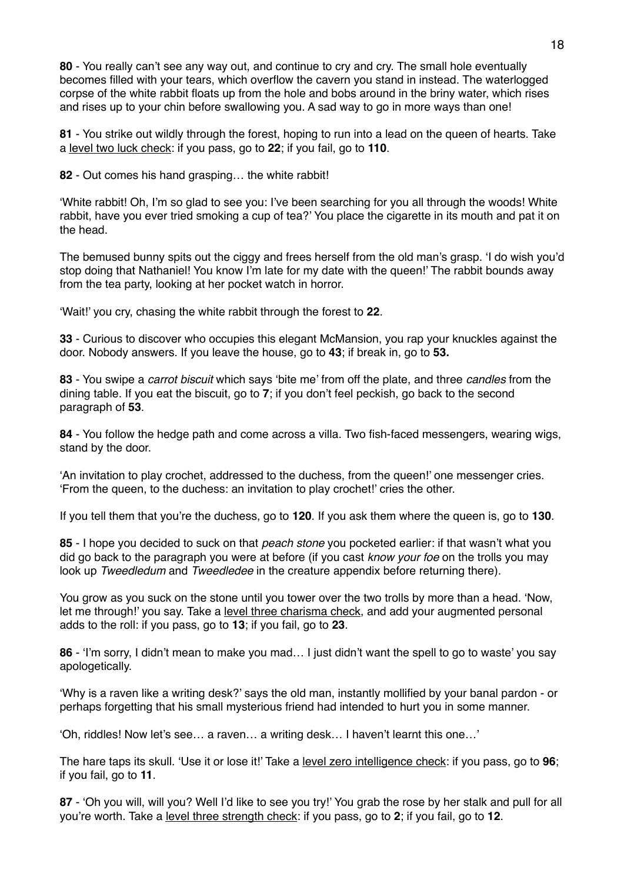**80** - You really can't see any way out, and continue to cry and cry. The small hole eventually becomes filled with your tears, which overflow the cavern you stand in instead. The waterlogged corpse of the white rabbit floats up from the hole and bobs around in the briny water, which rises and rises up to your chin before swallowing you. A sad way to go in more ways than one!

**81** - You strike out wildly through the forest, hoping to run into a lead on the queen of hearts. Take a level two luck check: if you pass, go to **22**; if you fail, go to **110**.

**82** - Out comes his hand grasping… the white rabbit!

'White rabbit! Oh, I'm so glad to see you: I've been searching for you all through the woods! White rabbit, have you ever tried smoking a cup of tea?' You place the cigarette in its mouth and pat it on the head.

The bemused bunny spits out the ciggy and frees herself from the old man's grasp. 'I do wish you'd stop doing that Nathaniel! You know I'm late for my date with the queen!' The rabbit bounds away from the tea party, looking at her pocket watch in horror.

'Wait!' you cry, chasing the white rabbit through the forest to **22**.

**33** - Curious to discover who occupies this elegant McMansion, you rap your knuckles against the door. Nobody answers. If you leave the house, go to **43**; if break in, go to **53.**

**83** - You swipe a *carrot biscuit* which says 'bite me' from off the plate, and three *candles* from the dining table. If you eat the biscuit, go to **7**; if you don't feel peckish, go back to the second paragraph of **53**.

**84** - You follow the hedge path and come across a villa. Two fish-faced messengers, wearing wigs, stand by the door.

'An invitation to play crochet, addressed to the duchess, from the queen!' one messenger cries. 'From the queen, to the duchess: an invitation to play crochet!' cries the other.

If you tell them that you're the duchess, go to **120**. If you ask them where the queen is, go to **130**.

**85** - I hope you decided to suck on that *peach stone* you pocketed earlier: if that wasn't what you did go back to the paragraph you were at before (if you cast *know your foe* on the trolls you may look up *Tweedledum* and *Tweedledee* in the creature appendix before returning there).

You grow as you suck on the stone until you tower over the two trolls by more than a head. 'Now, let me through!' you say. Take a level three charisma check, and add your augmented personal adds to the roll: if you pass, go to **13**; if you fail, go to **23**.

**86** - 'I'm sorry, I didn't mean to make you mad… I just didn't want the spell to go to waste' you say apologetically.

'Why is a raven like a writing desk?' says the old man, instantly mollified by your banal pardon - or perhaps forgetting that his small mysterious friend had intended to hurt you in some manner.

'Oh, riddles! Now let's see… a raven… a writing desk… I haven't learnt this one…'

The hare taps its skull. 'Use it or lose it!' Take a level zero intelligence check: if you pass, go to **96**; if you fail, go to **11**.

**87** - 'Oh you will, will you? Well I'd like to see you try!' You grab the rose by her stalk and pull for all you're worth. Take a level three strength check: if you pass, go to **2**; if you fail, go to **12**.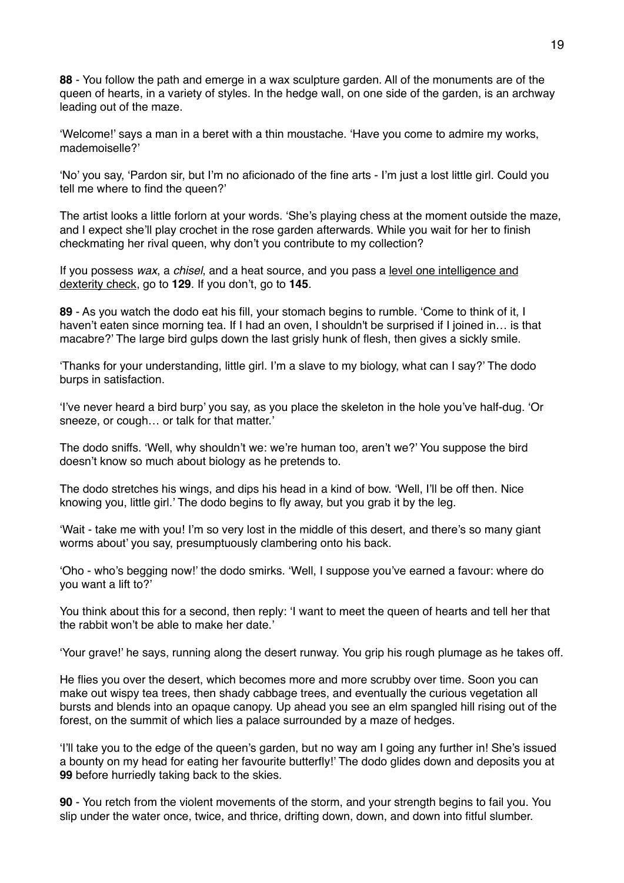**88** - You follow the path and emerge in a wax sculpture garden. All of the monuments are of the queen of hearts, in a variety of styles. In the hedge wall, on one side of the garden, is an archway leading out of the maze.

'Welcome!' says a man in a beret with a thin moustache. 'Have you come to admire my works, mademoiselle?'

'No' you say, 'Pardon sir, but I'm no aficionado of the fine arts - I'm just a lost little girl. Could you tell me where to find the queen?'

The artist looks a little forlorn at your words. 'She's playing chess at the moment outside the maze, and I expect she'll play crochet in the rose garden afterwards. While you wait for her to finish checkmating her rival queen, why don't you contribute to my collection?

If you possess *wax*, a *chisel*, and a heat source, and you pass a level one intelligence and dexterity check, go to **129**. If you don't, go to **145**.

**89** - As you watch the dodo eat his fill, your stomach begins to rumble. 'Come to think of it, I haven't eaten since morning tea. If I had an oven, I shouldn't be surprised if I joined in... is that macabre?' The large bird gulps down the last grisly hunk of flesh, then gives a sickly smile.

'Thanks for your understanding, little girl. I'm a slave to my biology, what can I say?' The dodo burps in satisfaction.

'I've never heard a bird burp' you say, as you place the skeleton in the hole you've half-dug. 'Or sneeze, or cough… or talk for that matter.'

The dodo sniffs. 'Well, why shouldn't we: we're human too, aren't we?' You suppose the bird doesn't know so much about biology as he pretends to.

The dodo stretches his wings, and dips his head in a kind of bow. 'Well, I'll be off then. Nice knowing you, little girl.' The dodo begins to fly away, but you grab it by the leg.

'Wait - take me with you! I'm so very lost in the middle of this desert, and there's so many giant worms about' you say, presumptuously clambering onto his back.

'Oho - who's begging now!' the dodo smirks. 'Well, I suppose you've earned a favour: where do you want a lift to?'

You think about this for a second, then reply: 'I want to meet the queen of hearts and tell her that the rabbit won't be able to make her date.'

'Your grave!' he says, running along the desert runway. You grip his rough plumage as he takes off.

He flies you over the desert, which becomes more and more scrubby over time. Soon you can make out wispy tea trees, then shady cabbage trees, and eventually the curious vegetation all bursts and blends into an opaque canopy. Up ahead you see an elm spangled hill rising out of the forest, on the summit of which lies a palace surrounded by a maze of hedges.

'I'll take you to the edge of the queen's garden, but no way am I going any further in! She's issued a bounty on my head for eating her favourite butterfly!' The dodo glides down and deposits you at **99** before hurriedly taking back to the skies.

**90** - You retch from the violent movements of the storm, and your strength begins to fail you. You slip under the water once, twice, and thrice, drifting down, down, and down into fitful slumber.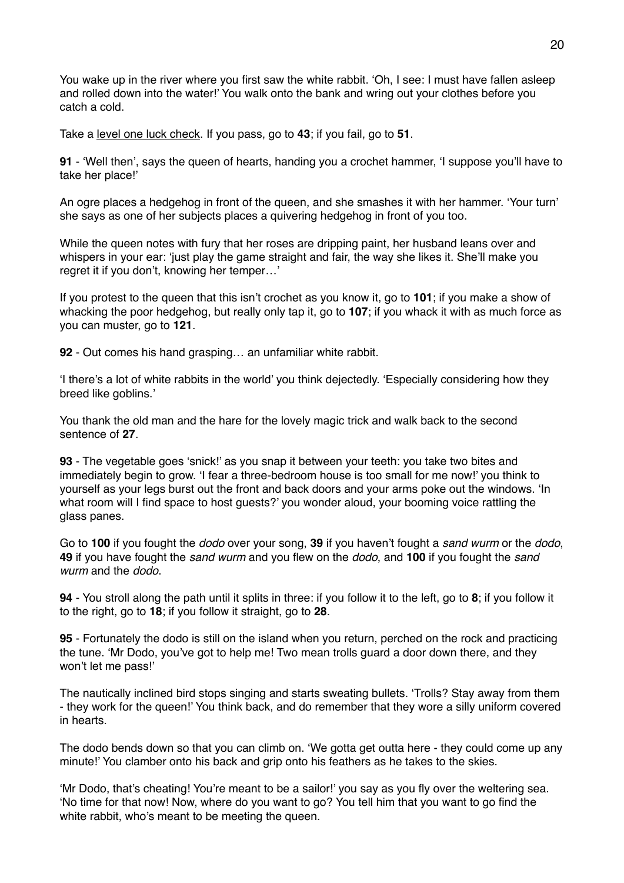You wake up in the river where you first saw the white rabbit. 'Oh, I see: I must have fallen asleep and rolled down into the water!' You walk onto the bank and wring out your clothes before you catch a cold.

Take a level one luck check. If you pass, go to **43**; if you fail, go to **51**.

**91** - 'Well then', says the queen of hearts, handing you a crochet hammer, 'I suppose you'll have to take her place!'

An ogre places a hedgehog in front of the queen, and she smashes it with her hammer. 'Your turn' she says as one of her subjects places a quivering hedgehog in front of you too.

While the queen notes with fury that her roses are dripping paint, her husband leans over and whispers in your ear: 'just play the game straight and fair, the way she likes it. She'll make you regret it if you don't, knowing her temper…'

If you protest to the queen that this isn't crochet as you know it, go to **101**; if you make a show of whacking the poor hedgehog, but really only tap it, go to **107**; if you whack it with as much force as you can muster, go to **121**.

**92** - Out comes his hand grasping… an unfamiliar white rabbit.

'I there's a lot of white rabbits in the world' you think dejectedly. 'Especially considering how they breed like goblins.'

You thank the old man and the hare for the lovely magic trick and walk back to the second sentence of **27**.

**93** - The vegetable goes 'snick!' as you snap it between your teeth: you take two bites and immediately begin to grow. 'I fear a three-bedroom house is too small for me now!' you think to yourself as your legs burst out the front and back doors and your arms poke out the windows. 'In what room will I find space to host guests?' you wonder aloud, your booming voice rattling the glass panes.

Go to **100** if you fought the *dodo* over your song, **39** if you haven't fought a *sand wurm* or the *dodo*, **49** if you have fought the *sand wurm* and you flew on the *dodo*, and **100** if you fought the *sand wurm* and the *dodo*.

**94** - You stroll along the path until it splits in three: if you follow it to the left, go to **8**; if you follow it to the right, go to **18**; if you follow it straight, go to **28**.

**95** - Fortunately the dodo is still on the island when you return, perched on the rock and practicing the tune. 'Mr Dodo, you've got to help me! Two mean trolls guard a door down there, and they won't let me pass!'

The nautically inclined bird stops singing and starts sweating bullets. 'Trolls? Stay away from them - they work for the queen!' You think back, and do remember that they wore a silly uniform covered in hearts.

The dodo bends down so that you can climb on. 'We gotta get outta here - they could come up any minute!' You clamber onto his back and grip onto his feathers as he takes to the skies.

'Mr Dodo, that's cheating! You're meant to be a sailor!' you say as you fly over the weltering sea. 'No time for that now! Now, where do you want to go? You tell him that you want to go find the white rabbit, who's meant to be meeting the queen.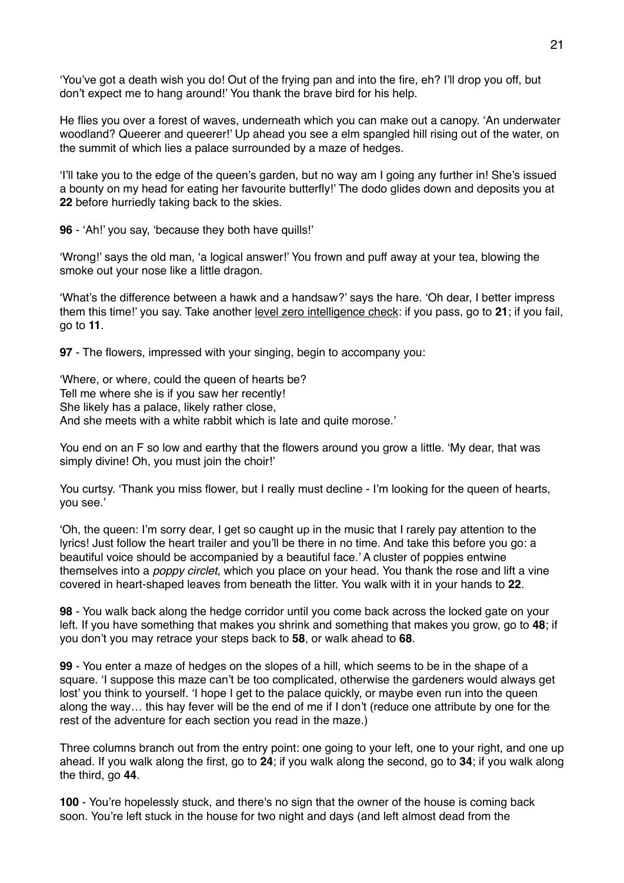'You've got a death wish you do! Out of the frying pan and into the fire, eh? I'll drop you off, but don't expect me to hang around!' You thank the brave bird for his help.

He flies you over a forest of waves, underneath which you can make out a canopy. 'An underwater woodland? Queerer and queerer!' Up ahead you see a elm spangled hill rising out of the water, on the summit of which lies a palace surrounded by a maze of hedges.

'I'll take you to the edge of the queen's garden, but no way am I going any further in! She's issued a bounty on my head for eating her favourite butterfly!' The dodo glides down and deposits you at **22** before hurriedly taking back to the skies.

**96** - 'Ah!' you say, 'because they both have quills!'

'Wrong!' says the old man, 'a logical answer!' You frown and puff away at your tea, blowing the smoke out your nose like a little dragon.

'What's the difference between a hawk and a handsaw?' says the hare. 'Oh dear, I better impress them this time!' you say. Take another level zero intelligence check: if you pass, go to **21**; if you fail, go to **11**.

**97** - The flowers, impressed with your singing, begin to accompany you:

'Where, or where, could the queen of hearts be? Tell me where she is if you saw her recently! She likely has a palace, likely rather close, And she meets with a white rabbit which is late and quite morose.'

You end on an F so low and earthy that the flowers around you grow a little. 'My dear, that was simply divine! Oh, you must join the choir!'

You curtsy. 'Thank you miss flower, but I really must decline - I'm looking for the queen of hearts, you see.'

'Oh, the queen: I'm sorry dear, I get so caught up in the music that I rarely pay attention to the lyrics! Just follow the heart trailer and you'll be there in no time. And take this before you go: a beautiful voice should be accompanied by a beautiful face.' A cluster of poppies entwine themselves into a *poppy circlet*, which you place on your head. You thank the rose and lift a vine covered in heart-shaped leaves from beneath the litter. You walk with it in your hands to **22**.

**98** - You walk back along the hedge corridor until you come back across the locked gate on your left. If you have something that makes you shrink and something that makes you grow, go to **48**; if you don't you may retrace your steps back to **58**, or walk ahead to **68**.

**99** - You enter a maze of hedges on the slopes of a hill, which seems to be in the shape of a square. 'I suppose this maze can't be too complicated, otherwise the gardeners would always get lost' you think to yourself. 'I hope I get to the palace quickly, or maybe even run into the queen along the way… this hay fever will be the end of me if I don't (reduce one attribute by one for the rest of the adventure for each section you read in the maze.)

Three columns branch out from the entry point: one going to your left, one to your right, and one up ahead. If you walk along the first, go to **24**; if you walk along the second, go to **34**; if you walk along the third, go **44**.

**100** - You're hopelessly stuck, and there's no sign that the owner of the house is coming back soon. You're left stuck in the house for two night and days (and left almost dead from the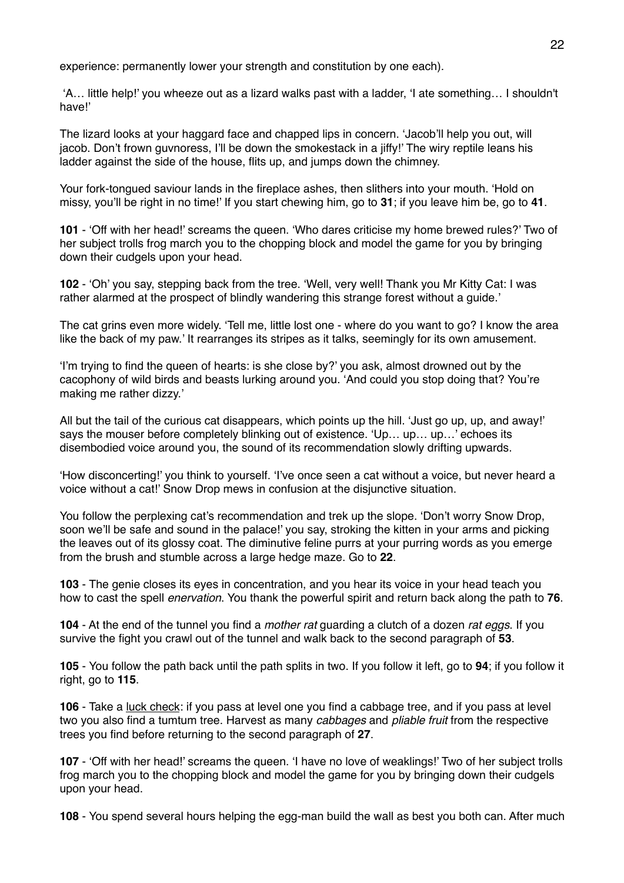experience: permanently lower your strength and constitution by one each).

 'A… little help!' you wheeze out as a lizard walks past with a ladder, 'I ate something… I shouldn't have!'

The lizard looks at your haggard face and chapped lips in concern. 'Jacob'll help you out, will jacob. Don't frown guvnoress, I'll be down the smokestack in a jiffy!' The wiry reptile leans his ladder against the side of the house, flits up, and jumps down the chimney.

Your fork-tongued saviour lands in the fireplace ashes, then slithers into your mouth. 'Hold on missy, you'll be right in no time!' If you start chewing him, go to **31**; if you leave him be, go to **41**.

**101** - 'Off with her head!' screams the queen. 'Who dares criticise my home brewed rules?' Two of her subject trolls frog march you to the chopping block and model the game for you by bringing down their cudgels upon your head.

**102** - 'Oh' you say, stepping back from the tree. 'Well, very well! Thank you Mr Kitty Cat: I was rather alarmed at the prospect of blindly wandering this strange forest without a guide.'

The cat grins even more widely. 'Tell me, little lost one - where do you want to go? I know the area like the back of my paw.' It rearranges its stripes as it talks, seemingly for its own amusement.

'I'm trying to find the queen of hearts: is she close by?' you ask, almost drowned out by the cacophony of wild birds and beasts lurking around you. 'And could you stop doing that? You're making me rather dizzy.'

All but the tail of the curious cat disappears, which points up the hill. 'Just go up, up, and away!' says the mouser before completely blinking out of existence. 'Up... up... up...' echoes its disembodied voice around you, the sound of its recommendation slowly drifting upwards.

'How disconcerting!' you think to yourself. 'I've once seen a cat without a voice, but never heard a voice without a cat!' Snow Drop mews in confusion at the disjunctive situation.

You follow the perplexing cat's recommendation and trek up the slope. 'Don't worry Snow Drop, soon we'll be safe and sound in the palace!' you say, stroking the kitten in your arms and picking the leaves out of its glossy coat. The diminutive feline purrs at your purring words as you emerge from the brush and stumble across a large hedge maze. Go to **22**.

**103** - The genie closes its eyes in concentration, and you hear its voice in your head teach you how to cast the spell *enervation*. You thank the powerful spirit and return back along the path to **76**.

**104** - At the end of the tunnel you find a *mother rat* guarding a clutch of a dozen *rat eggs*. If you survive the fight you crawl out of the tunnel and walk back to the second paragraph of **53**.

**105** - You follow the path back until the path splits in two. If you follow it left, go to **94**; if you follow it right, go to **115**.

**106** - Take a luck check: if you pass at level one you find a cabbage tree, and if you pass at level two you also find a tumtum tree. Harvest as many *cabbages* and *pliable fruit* from the respective trees you find before returning to the second paragraph of **27**.

**107** - 'Off with her head!' screams the queen. 'I have no love of weaklings!' Two of her subject trolls frog march you to the chopping block and model the game for you by bringing down their cudgels upon your head.

**108** - You spend several hours helping the egg-man build the wall as best you both can. After much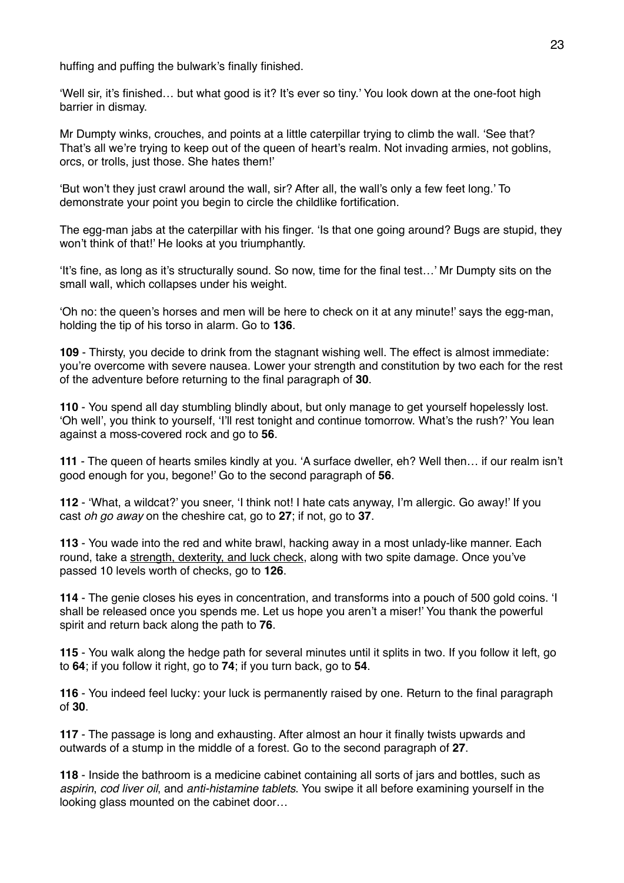huffing and puffing the bulwark's finally finished.

'Well sir, it's finished… but what good is it? It's ever so tiny.' You look down at the one-foot high barrier in dismay.

Mr Dumpty winks, crouches, and points at a little caterpillar trying to climb the wall. 'See that? That's all we're trying to keep out of the queen of heart's realm. Not invading armies, not goblins, orcs, or trolls, just those. She hates them!'

'But won't they just crawl around the wall, sir? After all, the wall's only a few feet long.' To demonstrate your point you begin to circle the childlike fortification.

The egg-man jabs at the caterpillar with his finger. 'Is that one going around? Bugs are stupid, they won't think of that!' He looks at you triumphantly.

'It's fine, as long as it's structurally sound. So now, time for the final test…' Mr Dumpty sits on the small wall, which collapses under his weight.

'Oh no: the queen's horses and men will be here to check on it at any minute!' says the egg-man, holding the tip of his torso in alarm. Go to **136**.

**109** - Thirsty, you decide to drink from the stagnant wishing well. The effect is almost immediate: you're overcome with severe nausea. Lower your strength and constitution by two each for the rest of the adventure before returning to the final paragraph of **30**.

**110** - You spend all day stumbling blindly about, but only manage to get yourself hopelessly lost. 'Oh well', you think to yourself, 'I'll rest tonight and continue tomorrow. What's the rush?' You lean against a moss-covered rock and go to **56**.

**111** - The queen of hearts smiles kindly at you. 'A surface dweller, eh? Well then… if our realm isn't good enough for you, begone!' Go to the second paragraph of **56**.

**112** - 'What, a wildcat?' you sneer, 'I think not! I hate cats anyway, I'm allergic. Go away!' If you cast *oh go away* on the cheshire cat, go to **27**; if not, go to **37**.

**113** - You wade into the red and white brawl, hacking away in a most unlady-like manner. Each round, take a strength, dexterity, and luck check, along with two spite damage. Once you've passed 10 levels worth of checks, go to **126**.

**114** - The genie closes his eyes in concentration, and transforms into a pouch of 500 gold coins. 'I shall be released once you spends me. Let us hope you aren't a miser!' You thank the powerful spirit and return back along the path to **76**.

**115** - You walk along the hedge path for several minutes until it splits in two. If you follow it left, go to **64**; if you follow it right, go to **74**; if you turn back, go to **54**.

**116** - You indeed feel lucky: your luck is permanently raised by one. Return to the final paragraph of **30**.

**117** - The passage is long and exhausting. After almost an hour it finally twists upwards and outwards of a stump in the middle of a forest. Go to the second paragraph of **27**.

**118** - Inside the bathroom is a medicine cabinet containing all sorts of jars and bottles, such as *aspirin*, *cod liver oil*, and *anti-histamine tablets*. You swipe it all before examining yourself in the looking glass mounted on the cabinet door…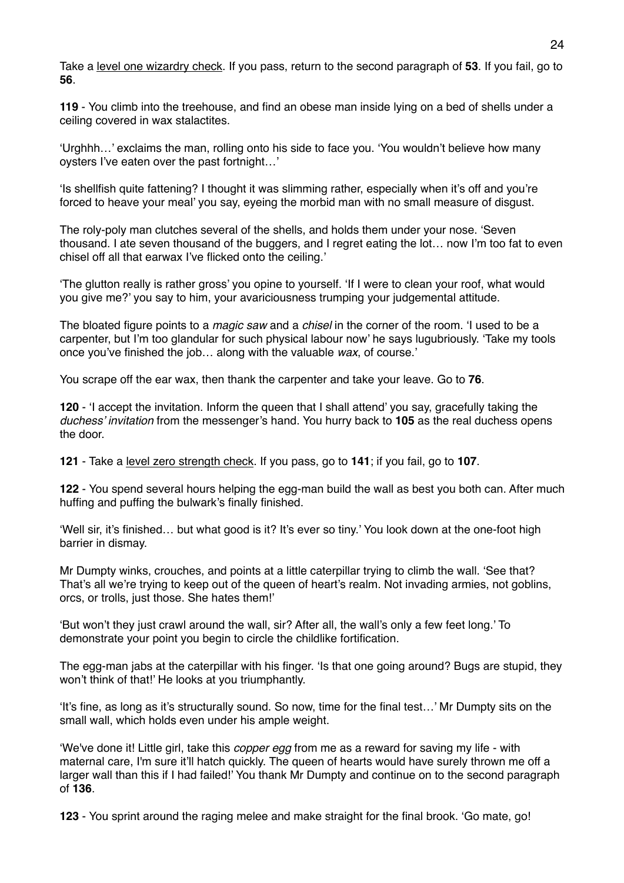Take a level one wizardry check. If you pass, return to the second paragraph of **53**. If you fail, go to **56**.

**119** - You climb into the treehouse, and find an obese man inside lying on a bed of shells under a ceiling covered in wax stalactites.

'Urghhh…' exclaims the man, rolling onto his side to face you. 'You wouldn't believe how many oysters I've eaten over the past fortnight…'

'Is shellfish quite fattening? I thought it was slimming rather, especially when it's off and you're forced to heave your meal' you say, eyeing the morbid man with no small measure of disgust.

The roly-poly man clutches several of the shells, and holds them under your nose. 'Seven thousand. I ate seven thousand of the buggers, and I regret eating the lot… now I'm too fat to even chisel off all that earwax I've flicked onto the ceiling.'

'The glutton really is rather gross' you opine to yourself. 'If I were to clean your roof, what would you give me?' you say to him, your avariciousness trumping your judgemental attitude.

The bloated figure points to a *magic saw* and a *chisel* in the corner of the room. 'I used to be a carpenter, but I'm too glandular for such physical labour now' he says lugubriously. 'Take my tools once you've finished the job… along with the valuable *wax*, of course.'

You scrape off the ear wax, then thank the carpenter and take your leave. Go to **76**.

**120** - 'I accept the invitation. Inform the queen that I shall attend' you say, gracefully taking the *duchess' invitation* from the messenger's hand. You hurry back to **105** as the real duchess opens the door.

**121** - Take a level zero strength check. If you pass, go to **141**; if you fail, go to **107**.

**122** - You spend several hours helping the egg-man build the wall as best you both can. After much huffing and puffing the bulwark's finally finished.

'Well sir, it's finished… but what good is it? It's ever so tiny.' You look down at the one-foot high barrier in dismay.

Mr Dumpty winks, crouches, and points at a little caterpillar trying to climb the wall. 'See that? That's all we're trying to keep out of the queen of heart's realm. Not invading armies, not goblins, orcs, or trolls, just those. She hates them!'

'But won't they just crawl around the wall, sir? After all, the wall's only a few feet long.' To demonstrate your point you begin to circle the childlike fortification.

The egg-man jabs at the caterpillar with his finger. 'Is that one going around? Bugs are stupid, they won't think of that!' He looks at you triumphantly.

'It's fine, as long as it's structurally sound. So now, time for the final test…' Mr Dumpty sits on the small wall, which holds even under his ample weight.

'We've done it! Little girl, take this *copper egg* from me as a reward for saving my life - with maternal care, I'm sure it'll hatch quickly. The queen of hearts would have surely thrown me off a larger wall than this if I had failed!' You thank Mr Dumpty and continue on to the second paragraph of **136**.

**123** - You sprint around the raging melee and make straight for the final brook. 'Go mate, go!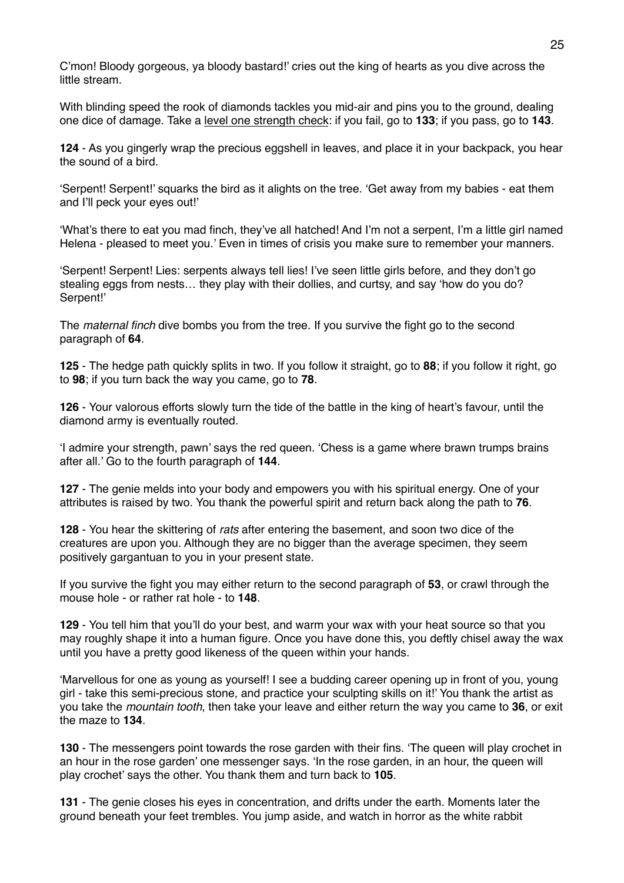C'mon! Bloody gorgeous, ya bloody bastard!' cries out the king of hearts as you dive across the little stream.

With blinding speed the rook of diamonds tackles you mid-air and pins you to the ground, dealing one dice of damage. Take a level one strength check: if you fail, go to **133**; if you pass, go to **143**.

**124** - As you gingerly wrap the precious eggshell in leaves, and place it in your backpack, you hear the sound of a bird.

'Serpent! Serpent!' squarks the bird as it alights on the tree. 'Get away from my babies - eat them and I'll peck your eyes out!'

'What's there to eat you mad finch, they've all hatched! And I'm not a serpent, I'm a little girl named Helena - pleased to meet you.' Even in times of crisis you make sure to remember your manners.

'Serpent! Serpent! Lies: serpents always tell lies! I've seen little girls before, and they don't go stealing eggs from nests… they play with their dollies, and curtsy, and say 'how do you do? Serpent!'

The *maternal finch* dive bombs you from the tree. If you survive the fight go to the second paragraph of **64**.

**125** - The hedge path quickly splits in two. If you follow it straight, go to **88**; if you follow it right, go to **98**; if you turn back the way you came, go to **78**.

**126** - Your valorous efforts slowly turn the tide of the battle in the king of heart's favour, until the diamond army is eventually routed.

'I admire your strength, pawn' says the red queen. 'Chess is a game where brawn trumps brains after all.' Go to the fourth paragraph of **144**.

**127** - The genie melds into your body and empowers you with his spiritual energy. One of your attributes is raised by two. You thank the powerful spirit and return back along the path to **76**.

**128** - You hear the skittering of *rats* after entering the basement, and soon two dice of the creatures are upon you. Although they are no bigger than the average specimen, they seem positively gargantuan to you in your present state.

If you survive the fight you may either return to the second paragraph of **53**, or crawl through the mouse hole - or rather rat hole - to **148**.

**129** - You tell him that you'll do your best, and warm your wax with your heat source so that you may roughly shape it into a human figure. Once you have done this, you deftly chisel away the wax until you have a pretty good likeness of the queen within your hands.

'Marvellous for one as young as yourself! I see a budding career opening up in front of you, young girl - take this semi-precious stone, and practice your sculpting skills on it!' You thank the artist as you take the *mountain tooth*, then take your leave and either return the way you came to **36**, or exit the maze to **134**.

**130** - The messengers point towards the rose garden with their fins. 'The queen will play crochet in an hour in the rose garden' one messenger says. 'In the rose garden, in an hour, the queen will play crochet' says the other. You thank them and turn back to **105**.

**131** - The genie closes his eyes in concentration, and drifts under the earth. Moments later the ground beneath your feet trembles. You jump aside, and watch in horror as the white rabbit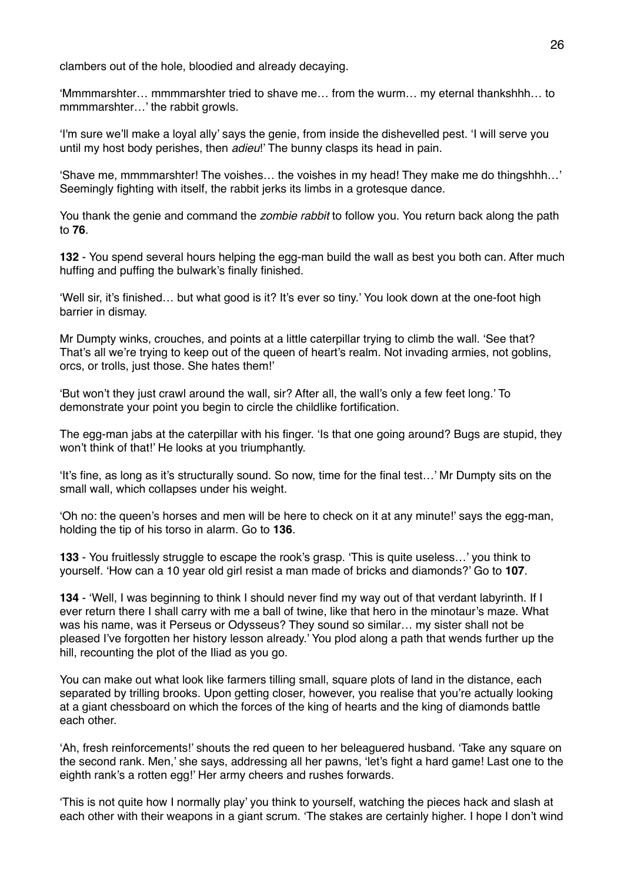clambers out of the hole, bloodied and already decaying.

'Mmmmarshter… mmmmarshter tried to shave me… from the wurm… my eternal thankshhh… to mmmmarshter…' the rabbit growls.

'I'm sure we'll make a loyal ally' says the genie, from inside the dishevelled pest. 'I will serve you until my host body perishes, then *adieu*!' The bunny clasps its head in pain.

'Shave me, mmmmarshter! The voishes… the voishes in my head! They make me do thingshhh…' Seemingly fighting with itself, the rabbit jerks its limbs in a grotesque dance.

You thank the genie and command the *zombie rabbit* to follow you. You return back along the path to **76**.

**132** - You spend several hours helping the egg-man build the wall as best you both can. After much huffing and puffing the bulwark's finally finished.

'Well sir, it's finished… but what good is it? It's ever so tiny.' You look down at the one-foot high barrier in dismay.

Mr Dumpty winks, crouches, and points at a little caterpillar trying to climb the wall. 'See that? That's all we're trying to keep out of the queen of heart's realm. Not invading armies, not goblins, orcs, or trolls, just those. She hates them!'

'But won't they just crawl around the wall, sir? After all, the wall's only a few feet long.' To demonstrate your point you begin to circle the childlike fortification.

The egg-man jabs at the caterpillar with his finger. 'Is that one going around? Bugs are stupid, they won't think of that!' He looks at you triumphantly.

'It's fine, as long as it's structurally sound. So now, time for the final test…' Mr Dumpty sits on the small wall, which collapses under his weight.

'Oh no: the queen's horses and men will be here to check on it at any minute!' says the egg-man, holding the tip of his torso in alarm. Go to **136**.

**133** - You fruitlessly struggle to escape the rook's grasp. 'This is quite useless…' you think to yourself. 'How can a 10 year old girl resist a man made of bricks and diamonds?' Go to **107**.

**134** - 'Well, I was beginning to think I should never find my way out of that verdant labyrinth. If I ever return there I shall carry with me a ball of twine, like that hero in the minotaur's maze. What was his name, was it Perseus or Odysseus? They sound so similar… my sister shall not be pleased I've forgotten her history lesson already.' You plod along a path that wends further up the hill, recounting the plot of the Iliad as you go.

You can make out what look like farmers tilling small, square plots of land in the distance, each separated by trilling brooks. Upon getting closer, however, you realise that you're actually looking at a giant chessboard on which the forces of the king of hearts and the king of diamonds battle each other.

'Ah, fresh reinforcements!' shouts the red queen to her beleaguered husband. 'Take any square on the second rank. Men,' she says, addressing all her pawns, 'let's fight a hard game! Last one to the eighth rank's a rotten egg!' Her army cheers and rushes forwards.

'This is not quite how I normally play' you think to yourself, watching the pieces hack and slash at each other with their weapons in a giant scrum. 'The stakes are certainly higher. I hope I don't wind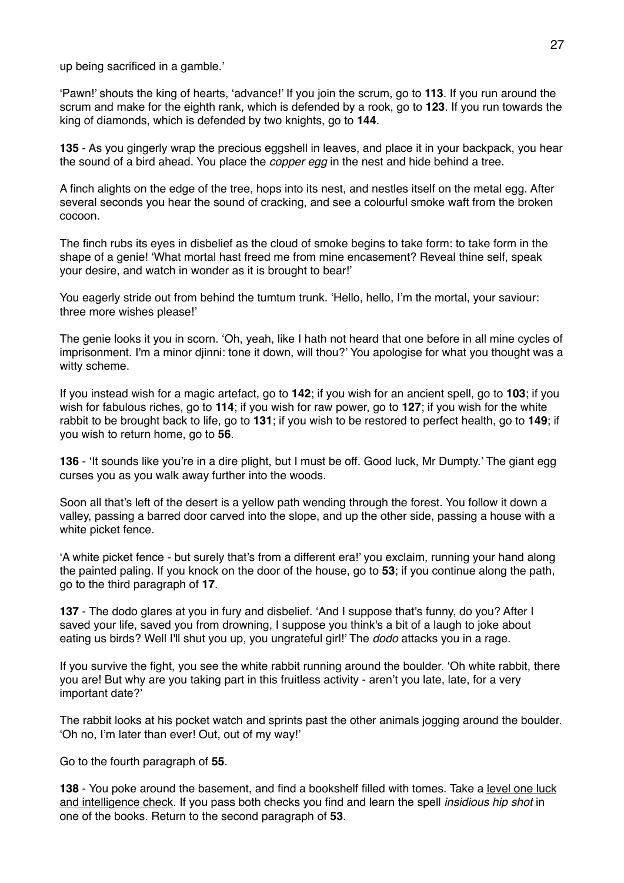up being sacrificed in a gamble.'

'Pawn!' shouts the king of hearts, 'advance!' If you join the scrum, go to **113**. If you run around the scrum and make for the eighth rank, which is defended by a rook, go to **123**. If you run towards the king of diamonds, which is defended by two knights, go to **144**.

**135** - As you gingerly wrap the precious eggshell in leaves, and place it in your backpack, you hear the sound of a bird ahead. You place the *copper egg* in the nest and hide behind a tree.

A finch alights on the edge of the tree, hops into its nest, and nestles itself on the metal egg. After several seconds you hear the sound of cracking, and see a colourful smoke waft from the broken cocoon.

The finch rubs its eyes in disbelief as the cloud of smoke begins to take form: to take form in the shape of a genie! 'What mortal hast freed me from mine encasement? Reveal thine self, speak your desire, and watch in wonder as it is brought to bear!'

You eagerly stride out from behind the tumtum trunk. 'Hello, hello, I'm the mortal, your saviour: three more wishes please!'

The genie looks it you in scorn. 'Oh, yeah, like I hath not heard that one before in all mine cycles of imprisonment. I'm a minor djinni: tone it down, will thou?' You apologise for what you thought was a witty scheme.

If you instead wish for a magic artefact, go to **142**; if you wish for an ancient spell, go to **103**; if you wish for fabulous riches, go to **114**; if you wish for raw power, go to **127**; if you wish for the white rabbit to be brought back to life, go to **131**; if you wish to be restored to perfect health, go to **149**; if you wish to return home, go to **56**.

**136** - 'It sounds like you're in a dire plight, but I must be off. Good luck, Mr Dumpty.' The giant egg curses you as you walk away further into the woods.

Soon all that's left of the desert is a yellow path wending through the forest. You follow it down a valley, passing a barred door carved into the slope, and up the other side, passing a house with a white picket fence.

'A white picket fence - but surely that's from a different era!' you exclaim, running your hand along the painted paling. If you knock on the door of the house, go to **53**; if you continue along the path, go to the third paragraph of **17**.

**137** - The dodo glares at you in fury and disbelief. 'And I suppose that's funny, do you? After I saved your life, saved you from drowning, I suppose you think's a bit of a laugh to joke about eating us birds? Well I'll shut you up, you ungrateful girl!' The *dodo* attacks you in a rage.

If you survive the fight, you see the white rabbit running around the boulder. 'Oh white rabbit, there you are! But why are you taking part in this fruitless activity - aren't you late, late, for a very important date?'

The rabbit looks at his pocket watch and sprints past the other animals jogging around the boulder. 'Oh no, I'm later than ever! Out, out of my way!'

Go to the fourth paragraph of **55**.

**138** - You poke around the basement, and find a bookshelf filled with tomes. Take a level one luck and intelligence check. If you pass both checks you find and learn the spell *insidious hip shot* in one of the books. Return to the second paragraph of **53**.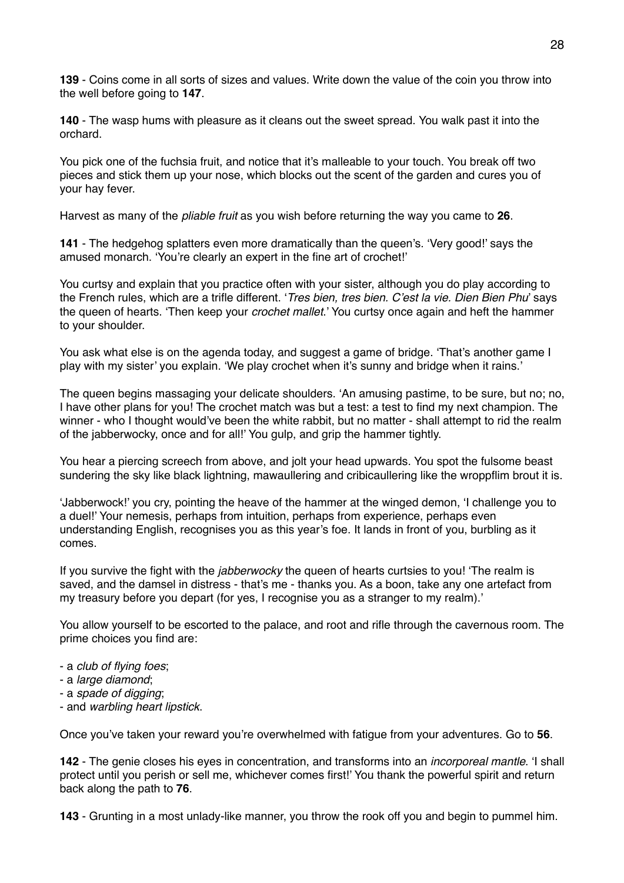**139** - Coins come in all sorts of sizes and values. Write down the value of the coin you throw into the well before going to **147**.

**140** - The wasp hums with pleasure as it cleans out the sweet spread. You walk past it into the orchard.

You pick one of the fuchsia fruit, and notice that it's malleable to your touch. You break off two pieces and stick them up your nose, which blocks out the scent of the garden and cures you of your hay fever.

Harvest as many of the *pliable fruit* as you wish before returning the way you came to **26**.

**141** - The hedgehog splatters even more dramatically than the queen's. 'Very good!' says the amused monarch. 'You're clearly an expert in the fine art of crochet!'

You curtsy and explain that you practice often with your sister, although you do play according to the French rules, which are a trifle different. '*Tres bien, tres bien. C'est la vie. Dien Bien Phu*' says the queen of hearts. 'Then keep your *crochet mallet*.' You curtsy once again and heft the hammer to your shoulder.

You ask what else is on the agenda today, and suggest a game of bridge. 'That's another game I play with my sister' you explain. 'We play crochet when it's sunny and bridge when it rains.'

The queen begins massaging your delicate shoulders. 'An amusing pastime, to be sure, but no; no, I have other plans for you! The crochet match was but a test: a test to find my next champion. The winner - who I thought would've been the white rabbit, but no matter - shall attempt to rid the realm of the jabberwocky, once and for all!' You gulp, and grip the hammer tightly.

You hear a piercing screech from above, and jolt your head upwards. You spot the fulsome beast sundering the sky like black lightning, mawaullering and cribicaullering like the wroppflim brout it is.

'Jabberwock!' you cry, pointing the heave of the hammer at the winged demon, 'I challenge you to a duel!' Your nemesis, perhaps from intuition, perhaps from experience, perhaps even understanding English, recognises you as this year's foe. It lands in front of you, burbling as it comes.

If you survive the fight with the *jabberwocky* the queen of hearts curtsies to you! 'The realm is saved, and the damsel in distress - that's me - thanks you. As a boon, take any one artefact from my treasury before you depart (for yes, I recognise you as a stranger to my realm).'

You allow yourself to be escorted to the palace, and root and rifle through the cavernous room. The prime choices you find are:

- a *club of flying foes*;
- a *large diamond*;
- a *spade of digging*;
- and *warbling heart lipstick*.

Once you've taken your reward you're overwhelmed with fatigue from your adventures. Go to **56**.

**142** - The genie closes his eyes in concentration, and transforms into an *incorporeal mantle*. 'I shall protect until you perish or sell me, whichever comes first!' You thank the powerful spirit and return back along the path to **76**.

**143** - Grunting in a most unlady-like manner, you throw the rook off you and begin to pummel him.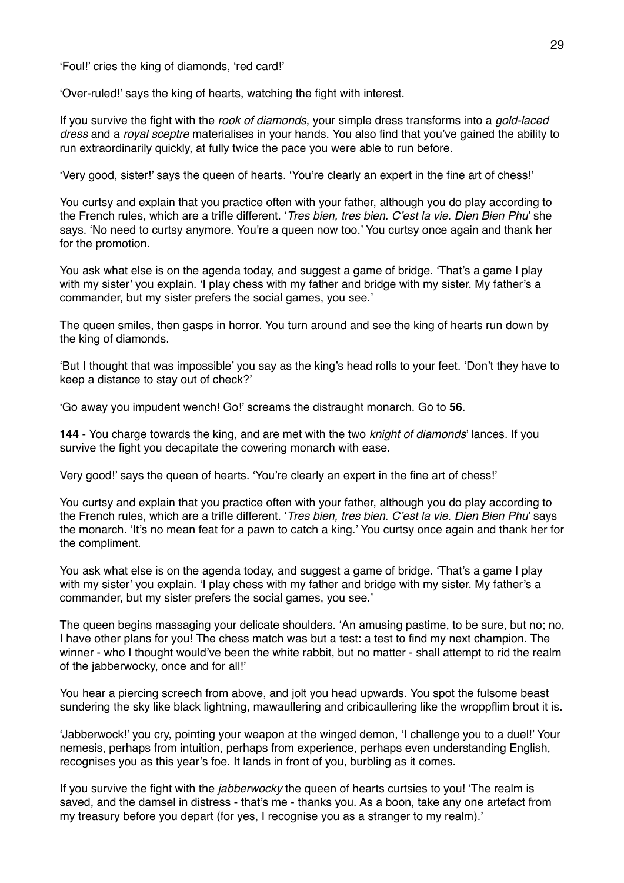'Foul!' cries the king of diamonds, 'red card!'

'Over-ruled!' says the king of hearts, watching the fight with interest.

If you survive the fight with the *rook of diamonds*, your simple dress transforms into a *gold-laced dress* and a *royal sceptre* materialises in your hands. You also find that you've gained the ability to run extraordinarily quickly, at fully twice the pace you were able to run before.

'Very good, sister!' says the queen of hearts. 'You're clearly an expert in the fine art of chess!'

You curtsy and explain that you practice often with your father, although you do play according to the French rules, which are a trifle different. '*Tres bien, tres bien. C'est la vie. Dien Bien Phu*' she says. 'No need to curtsy anymore. You're a queen now too.' You curtsy once again and thank her for the promotion.

You ask what else is on the agenda today, and suggest a game of bridge. 'That's a game I play with my sister' you explain. 'I play chess with my father and bridge with my sister. My father's a commander, but my sister prefers the social games, you see.'

The queen smiles, then gasps in horror. You turn around and see the king of hearts run down by the king of diamonds.

'But I thought that was impossible' you say as the king's head rolls to your feet. 'Don't they have to keep a distance to stay out of check?'

'Go away you impudent wench! Go!' screams the distraught monarch. Go to **56**.

**144** - You charge towards the king, and are met with the two *knight of diamonds*' lances. If you survive the fight you decapitate the cowering monarch with ease.

Very good!' says the queen of hearts. 'You're clearly an expert in the fine art of chess!'

You curtsy and explain that you practice often with your father, although you do play according to the French rules, which are a trifle different. '*Tres bien, tres bien. C'est la vie. Dien Bien Phu*' says the monarch. 'It's no mean feat for a pawn to catch a king.' You curtsy once again and thank her for the compliment.

You ask what else is on the agenda today, and suggest a game of bridge. 'That's a game I play with my sister' you explain. 'I play chess with my father and bridge with my sister. My father's a commander, but my sister prefers the social games, you see.'

The queen begins massaging your delicate shoulders. 'An amusing pastime, to be sure, but no; no, I have other plans for you! The chess match was but a test: a test to find my next champion. The winner - who I thought would've been the white rabbit, but no matter - shall attempt to rid the realm of the jabberwocky, once and for all!'

You hear a piercing screech from above, and jolt you head upwards. You spot the fulsome beast sundering the sky like black lightning, mawaullering and cribicaullering like the wroppflim brout it is.

'Jabberwock!' you cry, pointing your weapon at the winged demon, 'I challenge you to a duel!' Your nemesis, perhaps from intuition, perhaps from experience, perhaps even understanding English, recognises you as this year's foe. It lands in front of you, burbling as it comes.

If you survive the fight with the *jabberwocky* the queen of hearts curtsies to you! 'The realm is saved, and the damsel in distress - that's me - thanks you. As a boon, take any one artefact from my treasury before you depart (for yes, I recognise you as a stranger to my realm).'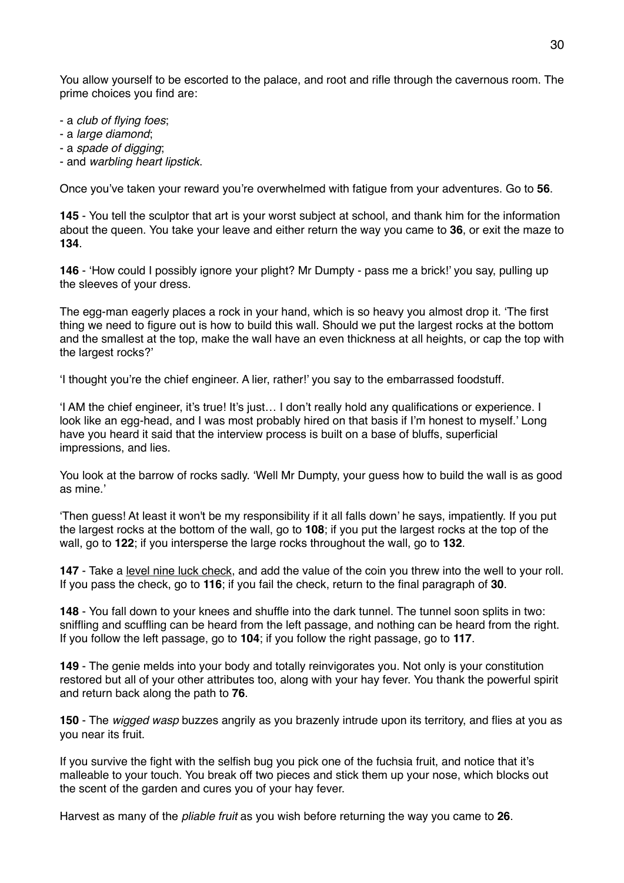You allow yourself to be escorted to the palace, and root and rifle through the cavernous room. The prime choices you find are:

- a *club of flying foes*;

- a *large diamond*;

- a *spade of digging*;

- and *warbling heart lipstick*.

Once you've taken your reward you're overwhelmed with fatigue from your adventures. Go to **56**.

**145** - You tell the sculptor that art is your worst subject at school, and thank him for the information about the queen. You take your leave and either return the way you came to **36**, or exit the maze to **134**.

**146** - 'How could I possibly ignore your plight? Mr Dumpty - pass me a brick!' you say, pulling up the sleeves of your dress.

The egg-man eagerly places a rock in your hand, which is so heavy you almost drop it. 'The first thing we need to figure out is how to build this wall. Should we put the largest rocks at the bottom and the smallest at the top, make the wall have an even thickness at all heights, or cap the top with the largest rocks?'

'I thought you're the chief engineer. A lier, rather!' you say to the embarrassed foodstuff.

'I AM the chief engineer, it's true! It's just… I don't really hold any qualifications or experience. I look like an egg-head, and I was most probably hired on that basis if I'm honest to myself.' Long have you heard it said that the interview process is built on a base of bluffs, superficial impressions, and lies.

You look at the barrow of rocks sadly. 'Well Mr Dumpty, your guess how to build the wall is as good as mine.'

'Then guess! At least it won't be my responsibility if it all falls down' he says, impatiently. If you put the largest rocks at the bottom of the wall, go to **108**; if you put the largest rocks at the top of the wall, go to **122**; if you intersperse the large rocks throughout the wall, go to **132**.

**147** - Take a level nine luck check, and add the value of the coin you threw into the well to your roll. If you pass the check, go to **116**; if you fail the check, return to the final paragraph of **30**.

**148** - You fall down to your knees and shuffle into the dark tunnel. The tunnel soon splits in two: sniffling and scuffling can be heard from the left passage, and nothing can be heard from the right. If you follow the left passage, go to **104**; if you follow the right passage, go to **117**.

**149** - The genie melds into your body and totally reinvigorates you. Not only is your constitution restored but all of your other attributes too, along with your hay fever. You thank the powerful spirit and return back along the path to **76**.

**150** - The *wigged wasp* buzzes angrily as you brazenly intrude upon its territory, and flies at you as you near its fruit.

If you survive the fight with the selfish bug you pick one of the fuchsia fruit, and notice that it's malleable to your touch. You break off two pieces and stick them up your nose, which blocks out the scent of the garden and cures you of your hay fever.

Harvest as many of the *pliable fruit* as you wish before returning the way you came to **26**.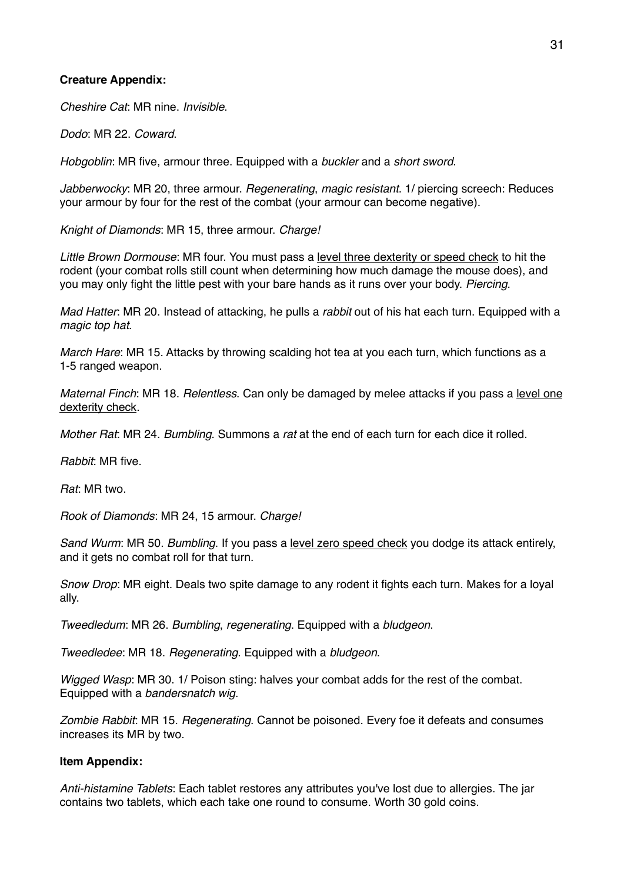#### **Creature Appendix:**

*Cheshire Cat*: MR nine. *Invisible*.

*Dodo*: MR 22. *Coward*.

*Hobgoblin*: MR five, armour three. Equipped with a *buckler* and a *short sword*.

*Jabberwocky*: MR 20, three armour. *Regenerating*, *magic resistant*. 1/ piercing screech: Reduces your armour by four for the rest of the combat (your armour can become negative).

*Knight of Diamonds*: MR 15, three armour. *Charge!*

*Little Brown Dormouse*: MR four. You must pass a level three dexterity or speed check to hit the rodent (your combat rolls still count when determining how much damage the mouse does), and you may only fight the little pest with your bare hands as it runs over your body. *Piercing*.

*Mad Hatter*: MR 20. Instead of attacking, he pulls a *rabbit* out of his hat each turn. Equipped with a *magic top hat*.

*March Hare*: MR 15. Attacks by throwing scalding hot tea at you each turn, which functions as a 1-5 ranged weapon.

*Maternal Finch*: MR 18. *Relentless*. Can only be damaged by melee attacks if you pass a level one dexterity check.

*Mother Rat*: MR 24. *Bumbling*. Summons a *rat* at the end of each turn for each dice it rolled.

*Rabbit*: MR five.

*Rat*: MR two.

*Rook of Diamonds*: MR 24, 15 armour. *Charge!*

*Sand Wurm*: MR 50. *Bumbling*. If you pass a level zero speed check you dodge its attack entirely, and it gets no combat roll for that turn.

*Snow Drop*: MR eight. Deals two spite damage to any rodent it fights each turn. Makes for a loyal ally.

*Tweedledum*: MR 26. *Bumbling*, *regenerating*. Equipped with a *bludgeon*.

*Tweedledee*: MR 18. *Regenerating*. Equipped with a *bludgeon*.

*Wigged Wasp*: MR 30. 1/ Poison sting: halves your combat adds for the rest of the combat. Equipped with a *bandersnatch wig*.

*Zombie Rabbit*: MR 15. *Regenerating*. Cannot be poisoned. Every foe it defeats and consumes increases its MR by two.

# **Item Appendix:**

*Anti-histamine Tablets*: Each tablet restores any attributes you've lost due to allergies. The jar contains two tablets, which each take one round to consume. Worth 30 gold coins.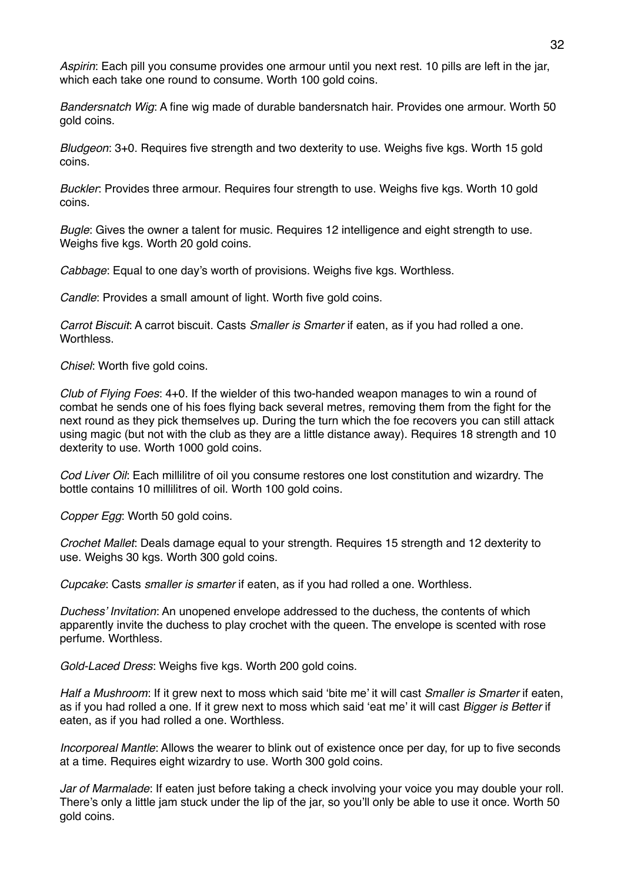*Aspirin*: Each pill you consume provides one armour until you next rest. 10 pills are left in the jar, which each take one round to consume. Worth 100 gold coins.

*Bandersnatch Wig*: A fine wig made of durable bandersnatch hair. Provides one armour. Worth 50 gold coins.

*Bludgeon*: 3+0. Requires five strength and two dexterity to use. Weighs five kgs. Worth 15 gold coins.

*Buckler*: Provides three armour. Requires four strength to use. Weighs five kgs. Worth 10 gold coins.

*Bugle*: Gives the owner a talent for music. Requires 12 intelligence and eight strength to use. Weighs five kgs. Worth 20 gold coins.

*Cabbage*: Equal to one day's worth of provisions. Weighs five kgs. Worthless.

*Candle*: Provides a small amount of light. Worth five gold coins.

*Carrot Biscuit*: A carrot biscuit. Casts *Smaller is Smarter* if eaten, as if you had rolled a one. Worthless.

*Chisel*: Worth five gold coins.

*Club of Flying Foes*: 4+0. If the wielder of this two-handed weapon manages to win a round of combat he sends one of his foes flying back several metres, removing them from the fight for the next round as they pick themselves up. During the turn which the foe recovers you can still attack using magic (but not with the club as they are a little distance away). Requires 18 strength and 10 dexterity to use. Worth 1000 gold coins.

*Cod Liver Oil*: Each millilitre of oil you consume restores one lost constitution and wizardry. The bottle contains 10 millilitres of oil. Worth 100 gold coins.

*Copper Egg*: Worth 50 gold coins.

*Crochet Mallet*: Deals damage equal to your strength. Requires 15 strength and 12 dexterity to use. Weighs 30 kgs. Worth 300 gold coins.

*Cupcake*: Casts *smaller is smarter* if eaten, as if you had rolled a one. Worthless.

*Duchess' Invitation*: An unopened envelope addressed to the duchess, the contents of which apparently invite the duchess to play crochet with the queen. The envelope is scented with rose perfume. Worthless.

*Gold-Laced Dress*: Weighs five kgs. Worth 200 gold coins.

*Half a Mushroom*: If it grew next to moss which said 'bite me' it will cast *Smaller is Smarter* if eaten, as if you had rolled a one. If it grew next to moss which said 'eat me' it will cast *Bigger is Better* if eaten, as if you had rolled a one. Worthless.

*Incorporeal Mantle*: Allows the wearer to blink out of existence once per day, for up to five seconds at a time. Requires eight wizardry to use. Worth 300 gold coins.

*Jar of Marmalade*: If eaten just before taking a check involving your voice you may double your roll. There's only a little jam stuck under the lip of the jar, so you'll only be able to use it once. Worth 50 gold coins.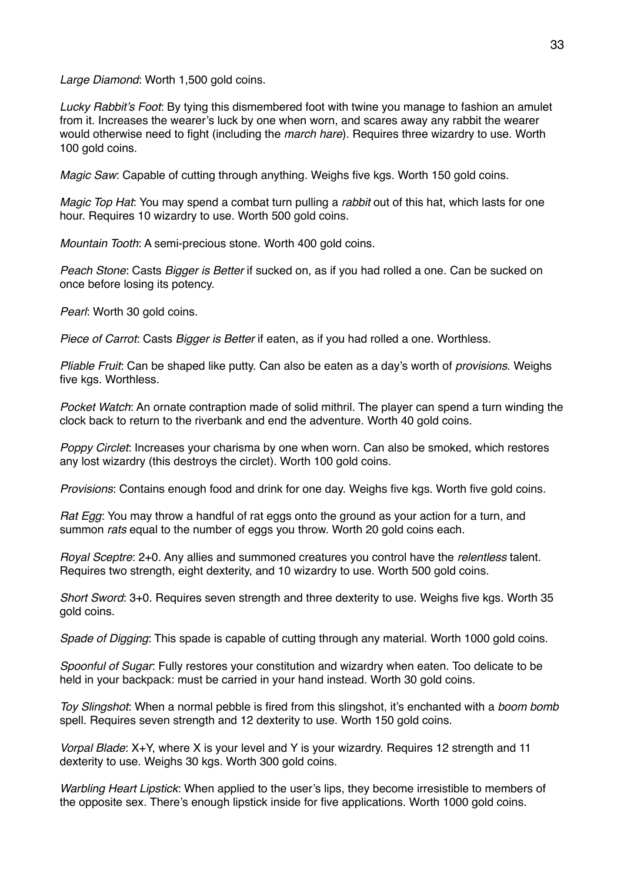*Large Diamond*: Worth 1,500 gold coins.

*Lucky Rabbit's Foot*: By tying this dismembered foot with twine you manage to fashion an amulet from it. Increases the wearer's luck by one when worn, and scares away any rabbit the wearer would otherwise need to fight (including the *march hare*). Requires three wizardry to use. Worth 100 gold coins.

*Magic Saw*: Capable of cutting through anything. Weighs five kgs. Worth 150 gold coins.

*Magic Top Hat*: You may spend a combat turn pulling a *rabbit* out of this hat, which lasts for one hour. Requires 10 wizardry to use. Worth 500 gold coins.

*Mountain Tooth*: A semi-precious stone. Worth 400 gold coins.

*Peach Stone*: Casts *Bigger is Better* if sucked on, as if you had rolled a one. Can be sucked on once before losing its potency.

*Pearl:* Worth 30 gold coins.

*Piece of Carrot*: Casts *Bigger is Better* if eaten, as if you had rolled a one. Worthless.

*Pliable Fruit*: Can be shaped like putty. Can also be eaten as a day's worth of *provisions*. Weighs five kgs. Worthless.

*Pocket Watch*: An ornate contraption made of solid mithril. The player can spend a turn winding the clock back to return to the riverbank and end the adventure. Worth 40 gold coins.

*Poppy Circlet*: Increases your charisma by one when worn. Can also be smoked, which restores any lost wizardry (this destroys the circlet). Worth 100 gold coins.

*Provisions*: Contains enough food and drink for one day. Weighs five kgs. Worth five gold coins.

*Rat Egg*: You may throw a handful of rat eggs onto the ground as your action for a turn, and summon *rats* equal to the number of eggs you throw. Worth 20 gold coins each.

*Royal Sceptre*: 2+0. Any allies and summoned creatures you control have the *relentless* talent. Requires two strength, eight dexterity, and 10 wizardry to use. Worth 500 gold coins.

*Short Sword*: 3+0. Requires seven strength and three dexterity to use. Weighs five kgs. Worth 35 gold coins.

*Spade of Digging*: This spade is capable of cutting through any material. Worth 1000 gold coins.

*Spoonful of Sugar*: Fully restores your constitution and wizardry when eaten. Too delicate to be held in your backpack: must be carried in your hand instead. Worth 30 gold coins.

*Toy Slingshot*: When a normal pebble is fired from this slingshot, it's enchanted with a *boom bomb*  spell. Requires seven strength and 12 dexterity to use. Worth 150 gold coins.

*Vorpal Blade*: X+Y, where X is your level and Y is your wizardry. Requires 12 strength and 11 dexterity to use. Weighs 30 kgs. Worth 300 gold coins.

*Warbling Heart Lipstick*: When applied to the user's lips, they become irresistible to members of the opposite sex. There's enough lipstick inside for five applications. Worth 1000 gold coins.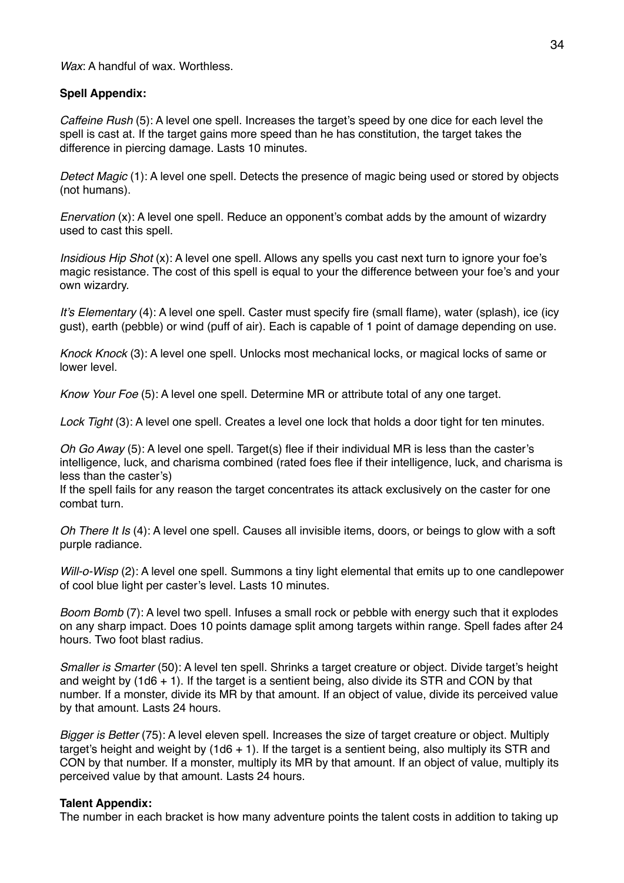*Wax*: A handful of wax. Worthless.

# **Spell Appendix:**

*Caffeine Rush* (5): A level one spell. Increases the target's speed by one dice for each level the spell is cast at. If the target gains more speed than he has constitution, the target takes the difference in piercing damage. Lasts 10 minutes.

*Detect Magic* (1): A level one spell. Detects the presence of magic being used or stored by objects (not humans).

*Enervation* (x): A level one spell. Reduce an opponent's combat adds by the amount of wizardry used to cast this spell.

*Insidious Hip Shot* (x): A level one spell. Allows any spells you cast next turn to ignore your foe's magic resistance. The cost of this spell is equal to your the difference between your foe's and your own wizardry.

*It's Elementary* (4): A level one spell. Caster must specify fire (small flame), water (splash), ice (icy gust), earth (pebble) or wind (puff of air). Each is capable of 1 point of damage depending on use.

*Knock Knock* (3): A level one spell. Unlocks most mechanical locks, or magical locks of same or lower level.

*Know Your Foe* (5): A level one spell. Determine MR or attribute total of any one target.

*Lock Tight* (3): A level one spell. Creates a level one lock that holds a door tight for ten minutes.

*Oh Go Away* (5): A level one spell. Target(s) flee if their individual MR is less than the caster's intelligence, luck, and charisma combined (rated foes flee if their intelligence, luck, and charisma is less than the caster's)

If the spell fails for any reason the target concentrates its attack exclusively on the caster for one combat turn.

*Oh There It Is* (4): A level one spell. Causes all invisible items, doors, or beings to glow with a soft purple radiance.

*Will-o-Wisp* (2): A level one spell. Summons a tiny light elemental that emits up to one candlepower of cool blue light per caster's level. Lasts 10 minutes.

*Boom Bomb* (7): A level two spell. Infuses a small rock or pebble with energy such that it explodes on any sharp impact. Does 10 points damage split among targets within range. Spell fades after 24 hours. Two foot blast radius.

*Smaller is Smarter* (50): A level ten spell. Shrinks a target creature or object. Divide target's height and weight by (1d6 + 1). If the target is a sentient being, also divide its STR and CON by that number. If a monster, divide its MR by that amount. If an object of value, divide its perceived value by that amount. Lasts 24 hours.

*Bigger is Better* (75): A level eleven spell. Increases the size of target creature or object. Multiply target's height and weight by (1d6  $+$  1). If the target is a sentient being, also multiply its STR and CON by that number. If a monster, multiply its MR by that amount. If an object of value, multiply its perceived value by that amount. Lasts 24 hours.

# **Talent Appendix:**

The number in each bracket is how many adventure points the talent costs in addition to taking up